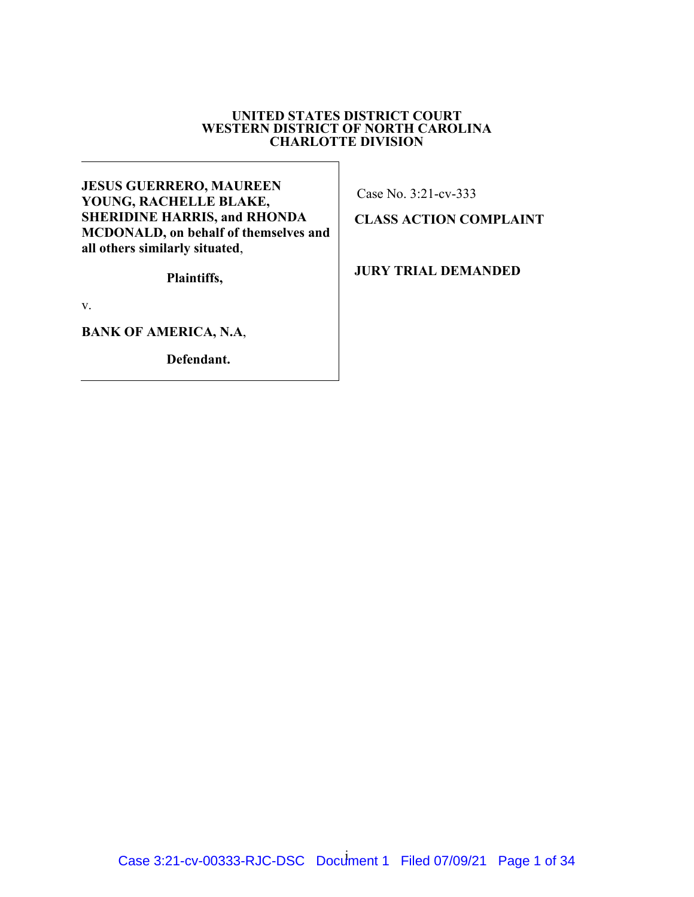### **UNITED STATES DISTRICT COURT WESTERN DISTRICT OF NORTH CAROLINA CHARLOTTE DIVISION**

**JESUS GUERRERO, MAUREEN YOUNG, RACHELLE BLAKE, SHERIDINE HARRIS, and RHONDA MCDONALD, on behalf of themselves and all others similarly situated**,

**Plaintiffs,** 

v.

**BANK OF AMERICA, N.A**,

**Defendant.**

Case No. 3:21-cv-333

**CLASS ACTION COMPLAINT**

**JURY TRIAL DEMANDED**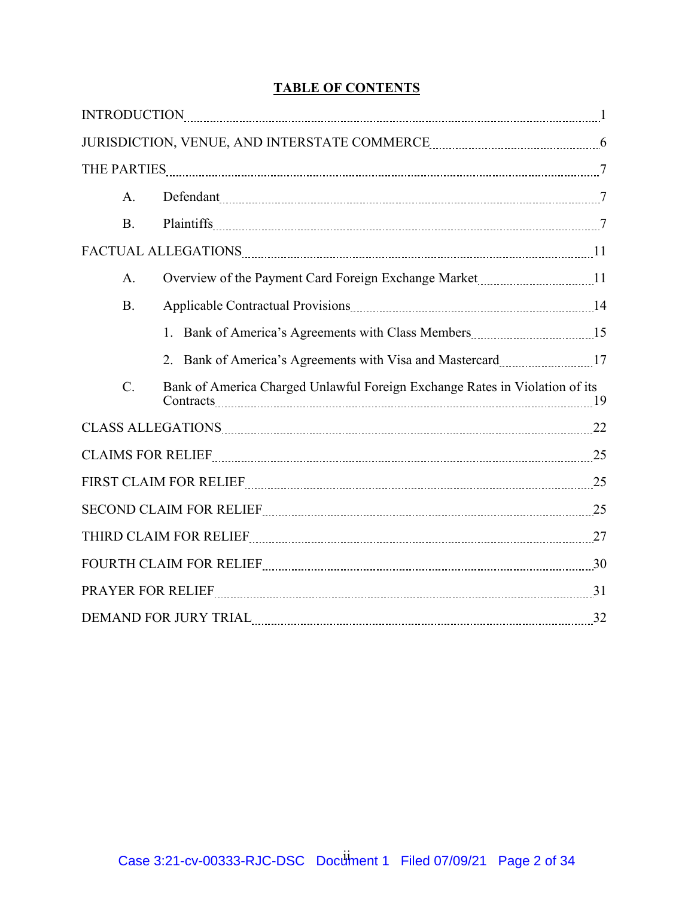# **TABLE OF CONTENTS**

|                                                                                                                                                                                                                                | $\bf INTRODUCTION \textcolor{red}{_\textcolor{blue}{\bf INTRODUCTION \textcolor{green}{_\textcolor{blue}{\bf .}\dots \textcolor{green}{_\textcolor{blue}{\bf .}\dots \textcolor{green}{_\textcolor{blue}{\bf .}\dots \textcolor{green}{_\textcolor{blue}{\bf .}\dots \textcolor{green}{_\textcolor{blue}{\bf .}\dots \textcolor{green}{_\textcolor{blue}{\bf .}\dots \textcolor{green}{_\textcolor{blue}{\bf .}\dots \textcolor{green}{_\textcolor{blue}{\bf .}\dots \textcolor{green}{_\textcolor{blue}{\bf .}\dots \textcolor{green}{_\textcolor{blue}{\bf .}\dots \textcolor{green}{_\textcolor{blue}{\bf .}\dots \textcolor{green}{_\textcolor{blue}{\$ |  |
|--------------------------------------------------------------------------------------------------------------------------------------------------------------------------------------------------------------------------------|-------------------------------------------------------------------------------------------------------------------------------------------------------------------------------------------------------------------------------------------------------------------------------------------------------------------------------------------------------------------------------------------------------------------------------------------------------------------------------------------------------------------------------------------------------------------------------------------------------------------------------------------------------------|--|
|                                                                                                                                                                                                                                |                                                                                                                                                                                                                                                                                                                                                                                                                                                                                                                                                                                                                                                             |  |
|                                                                                                                                                                                                                                |                                                                                                                                                                                                                                                                                                                                                                                                                                                                                                                                                                                                                                                             |  |
| A.                                                                                                                                                                                                                             | Defendant 7                                                                                                                                                                                                                                                                                                                                                                                                                                                                                                                                                                                                                                                 |  |
| <b>B.</b>                                                                                                                                                                                                                      |                                                                                                                                                                                                                                                                                                                                                                                                                                                                                                                                                                                                                                                             |  |
|                                                                                                                                                                                                                                |                                                                                                                                                                                                                                                                                                                                                                                                                                                                                                                                                                                                                                                             |  |
| A.                                                                                                                                                                                                                             |                                                                                                                                                                                                                                                                                                                                                                                                                                                                                                                                                                                                                                                             |  |
| <b>B.</b>                                                                                                                                                                                                                      |                                                                                                                                                                                                                                                                                                                                                                                                                                                                                                                                                                                                                                                             |  |
|                                                                                                                                                                                                                                | 1. Bank of America's Agreements with Class Members [15] 15                                                                                                                                                                                                                                                                                                                                                                                                                                                                                                                                                                                                  |  |
|                                                                                                                                                                                                                                | 2. Bank of America's Agreements with Visa and Mastercard manufactured. 17                                                                                                                                                                                                                                                                                                                                                                                                                                                                                                                                                                                   |  |
| C.                                                                                                                                                                                                                             | Bank of America Charged Unlawful Foreign Exchange Rates in Violation of its                                                                                                                                                                                                                                                                                                                                                                                                                                                                                                                                                                                 |  |
|                                                                                                                                                                                                                                |                                                                                                                                                                                                                                                                                                                                                                                                                                                                                                                                                                                                                                                             |  |
| CLAIMS FOR RELIEF 25                                                                                                                                                                                                           |                                                                                                                                                                                                                                                                                                                                                                                                                                                                                                                                                                                                                                                             |  |
|                                                                                                                                                                                                                                |                                                                                                                                                                                                                                                                                                                                                                                                                                                                                                                                                                                                                                                             |  |
|                                                                                                                                                                                                                                | SECOND CLAIM FOR RELIEF <b>MARKELIEF</b> 25                                                                                                                                                                                                                                                                                                                                                                                                                                                                                                                                                                                                                 |  |
| THIRD CLAIM FOR RELIEF [111] 27 [12] 27 [13] 27 [13] 27 [13] 27 [13] 27 [13] 27 [13] 27 [13] 27 [13] 27 [13] 27 [13] 27 [13] 27 [13] 27 [13] 27 [13] 27 [13] 27 [13] 27 [13] 27 [13] 27 [13] 27 [13] 27 [13] 27 [13] 27 [13] 2 |                                                                                                                                                                                                                                                                                                                                                                                                                                                                                                                                                                                                                                                             |  |
|                                                                                                                                                                                                                                | FOURTH CLAIM FOR RELIEF <b>MALLE AND RELIEF</b> 30                                                                                                                                                                                                                                                                                                                                                                                                                                                                                                                                                                                                          |  |
| PRAYER FOR RELIEF 21 21                                                                                                                                                                                                        |                                                                                                                                                                                                                                                                                                                                                                                                                                                                                                                                                                                                                                                             |  |
|                                                                                                                                                                                                                                | DEMAND FOR JURY TRIAL <b>MALL AND TRIAL AND TRIAL</b> 32                                                                                                                                                                                                                                                                                                                                                                                                                                                                                                                                                                                                    |  |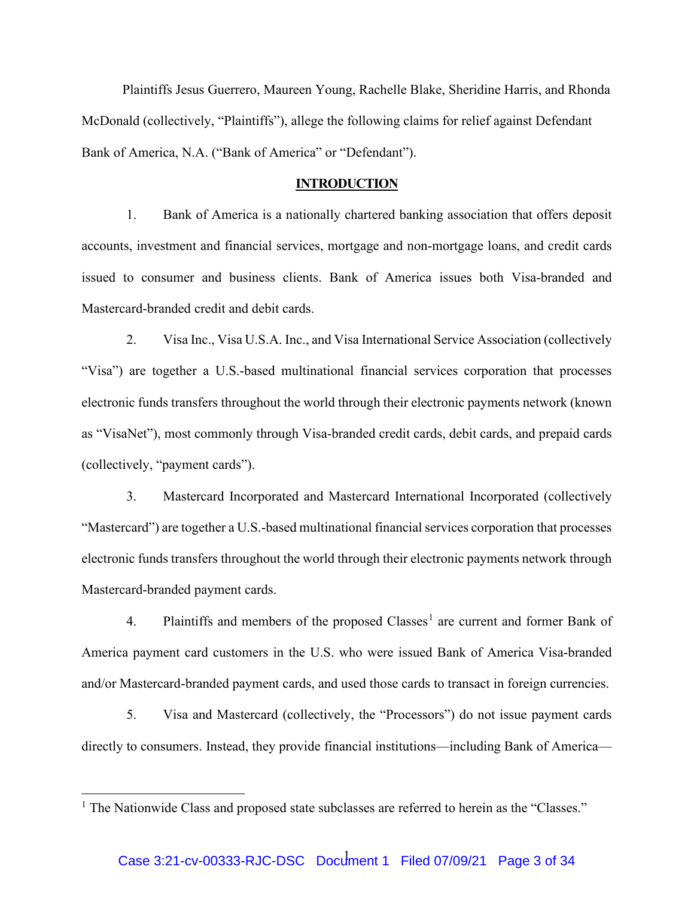Plaintiffs Jesus Guerrero, Maureen Young, Rachelle Blake, Sheridine Harris, and Rhonda McDonald (collectively, "Plaintiffs"), allege the following claims for relief against Defendant Bank of America, N.A. ("Bank of America" or "Defendant").

#### **INTRODUCTION**

1. Bank of America is a nationally chartered banking association that offers deposit accounts, investment and financial services, mortgage and non-mortgage loans, and credit cards issued to consumer and business clients. Bank of America issues both Visa-branded and Mastercard-branded credit and debit cards.

2. Visa Inc., Visa U.S.A. Inc., and Visa International Service Association (collectively "Visa") are together a U.S.-based multinational financial services corporation that processes electronic funds transfers throughout the world through their electronic payments network (known as "VisaNet"), most commonly through Visa-branded credit cards, debit cards, and prepaid cards (collectively, "payment cards").

3. Mastercard Incorporated and Mastercard International Incorporated (collectively "Mastercard") are together a U.S.-based multinational financial services corporation that processes electronic funds transfers throughout the world through their electronic payments network through Mastercard-branded payment cards.

4. Plaintiffs and members of the proposed Classes<sup>[1](#page-2-0)</sup> are current and former Bank of America payment card customers in the U.S. who were issued Bank of America Visa-branded and/or Mastercard-branded payment cards, and used those cards to transact in foreign currencies.

5. Visa and Mastercard (collectively, the "Processors") do not issue payment cards directly to consumers. Instead, they provide financial institutions—including Bank of America—

<span id="page-2-0"></span><sup>&</sup>lt;sup>1</sup> The Nationwide Class and proposed state subclasses are referred to herein as the "Classes."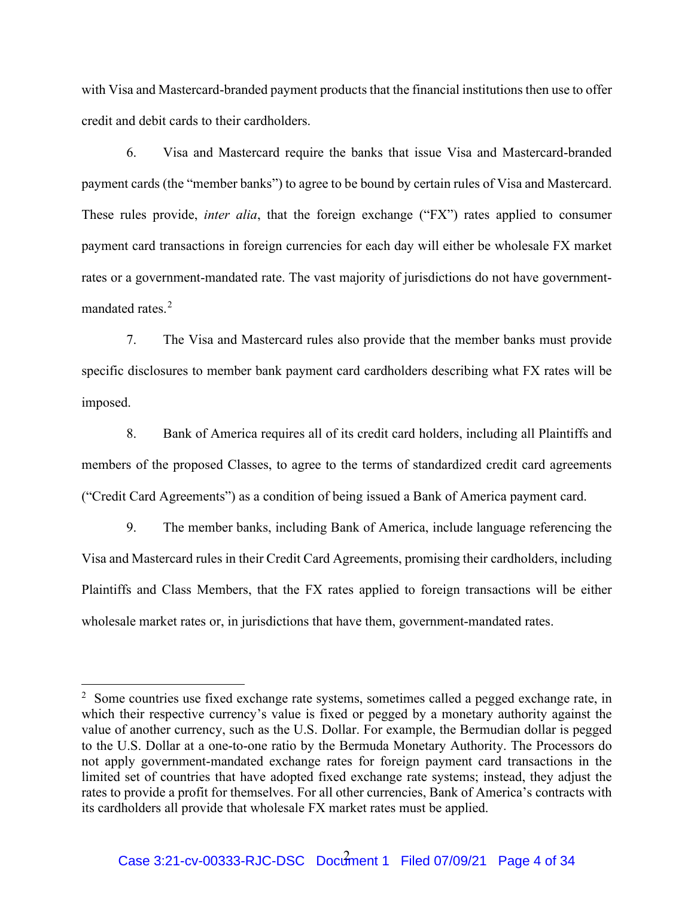with Visa and Mastercard-branded payment products that the financial institutions then use to offer credit and debit cards to their cardholders.

6. Visa and Mastercard require the banks that issue Visa and Mastercard-branded payment cards (the "member banks") to agree to be bound by certain rules of Visa and Mastercard. These rules provide, *inter alia*, that the foreign exchange ("FX") rates applied to consumer payment card transactions in foreign currencies for each day will either be wholesale FX market rates or a government-mandated rate. The vast majority of jurisdictions do not have government-mandated rates<sup>[2](#page-3-0)</sup>

7. The Visa and Mastercard rules also provide that the member banks must provide specific disclosures to member bank payment card cardholders describing what FX rates will be imposed.

8. Bank of America requires all of its credit card holders, including all Plaintiffs and members of the proposed Classes, to agree to the terms of standardized credit card agreements ("Credit Card Agreements") as a condition of being issued a Bank of America payment card.

9. The member banks, including Bank of America, include language referencing the Visa and Mastercard rules in their Credit Card Agreements, promising their cardholders, including Plaintiffs and Class Members, that the FX rates applied to foreign transactions will be either wholesale market rates or, in jurisdictions that have them, government-mandated rates.

<span id="page-3-0"></span><sup>&</sup>lt;sup>2</sup> Some countries use fixed exchange rate systems, sometimes called a pegged exchange rate, in which their respective currency's value is fixed or pegged by a monetary authority against the value of another currency, such as the U.S. Dollar. For example, the Bermudian dollar is pegged to the U.S. Dollar at a one-to-one ratio by the Bermuda Monetary Authority. The Processors do not apply government-mandated exchange rates for foreign payment card transactions in the limited set of countries that have adopted fixed exchange rate systems; instead, they adjust the rates to provide a profit for themselves. For all other currencies, Bank of America's contracts with its cardholders all provide that wholesale FX market rates must be applied.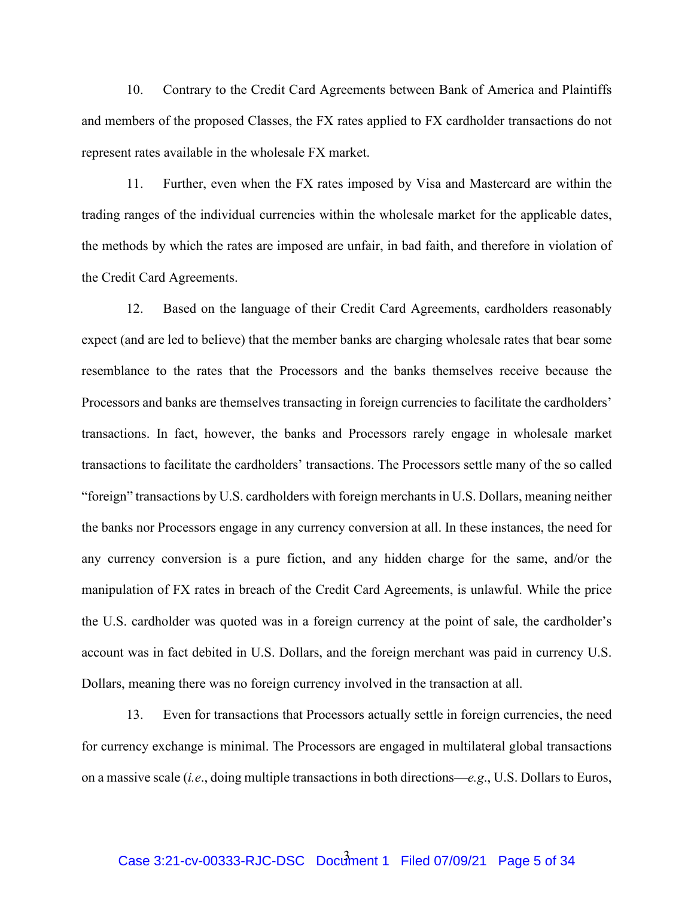10. Contrary to the Credit Card Agreements between Bank of America and Plaintiffs and members of the proposed Classes, the FX rates applied to FX cardholder transactions do not represent rates available in the wholesale FX market.

11. Further, even when the FX rates imposed by Visa and Mastercard are within the trading ranges of the individual currencies within the wholesale market for the applicable dates, the methods by which the rates are imposed are unfair, in bad faith, and therefore in violation of the Credit Card Agreements.

12. Based on the language of their Credit Card Agreements, cardholders reasonably expect (and are led to believe) that the member banks are charging wholesale rates that bear some resemblance to the rates that the Processors and the banks themselves receive because the Processors and banks are themselves transacting in foreign currencies to facilitate the cardholders' transactions. In fact, however, the banks and Processors rarely engage in wholesale market transactions to facilitate the cardholders' transactions. The Processors settle many of the so called "foreign" transactions by U.S. cardholders with foreign merchants in U.S. Dollars, meaning neither the banks nor Processors engage in any currency conversion at all. In these instances, the need for any currency conversion is a pure fiction, and any hidden charge for the same, and/or the manipulation of FX rates in breach of the Credit Card Agreements, is unlawful. While the price the U.S. cardholder was quoted was in a foreign currency at the point of sale, the cardholder's account was in fact debited in U.S. Dollars, and the foreign merchant was paid in currency U.S. Dollars, meaning there was no foreign currency involved in the transaction at all.

13. Even for transactions that Processors actually settle in foreign currencies, the need for currency exchange is minimal. The Processors are engaged in multilateral global transactions on a massive scale (*i.e*., doing multiple transactions in both directions—*e.g*., U.S. Dollars to Euros,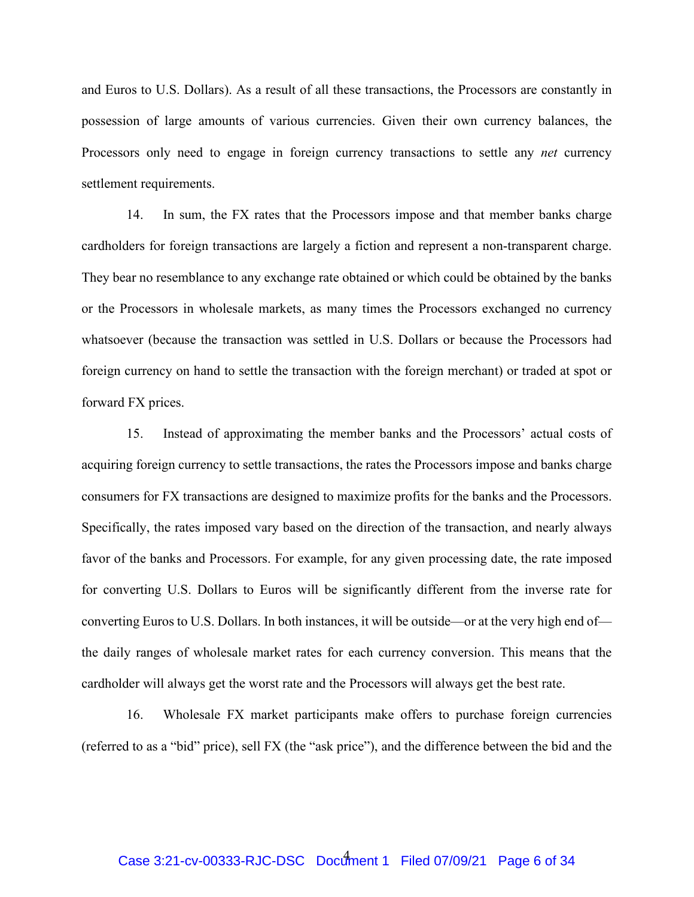and Euros to U.S. Dollars). As a result of all these transactions, the Processors are constantly in possession of large amounts of various currencies. Given their own currency balances, the Processors only need to engage in foreign currency transactions to settle any *net* currency settlement requirements.

14. In sum, the FX rates that the Processors impose and that member banks charge cardholders for foreign transactions are largely a fiction and represent a non-transparent charge. They bear no resemblance to any exchange rate obtained or which could be obtained by the banks or the Processors in wholesale markets, as many times the Processors exchanged no currency whatsoever (because the transaction was settled in U.S. Dollars or because the Processors had foreign currency on hand to settle the transaction with the foreign merchant) or traded at spot or forward FX prices.

15. Instead of approximating the member banks and the Processors' actual costs of acquiring foreign currency to settle transactions, the rates the Processors impose and banks charge consumers for FX transactions are designed to maximize profits for the banks and the Processors. Specifically, the rates imposed vary based on the direction of the transaction, and nearly always favor of the banks and Processors. For example, for any given processing date, the rate imposed for converting U.S. Dollars to Euros will be significantly different from the inverse rate for converting Euros to U.S. Dollars. In both instances, it will be outside—or at the very high end of the daily ranges of wholesale market rates for each currency conversion. This means that the cardholder will always get the worst rate and the Processors will always get the best rate.

16. Wholesale FX market participants make offers to purchase foreign currencies (referred to as a "bid" price), sell FX (the "ask price"), and the difference between the bid and the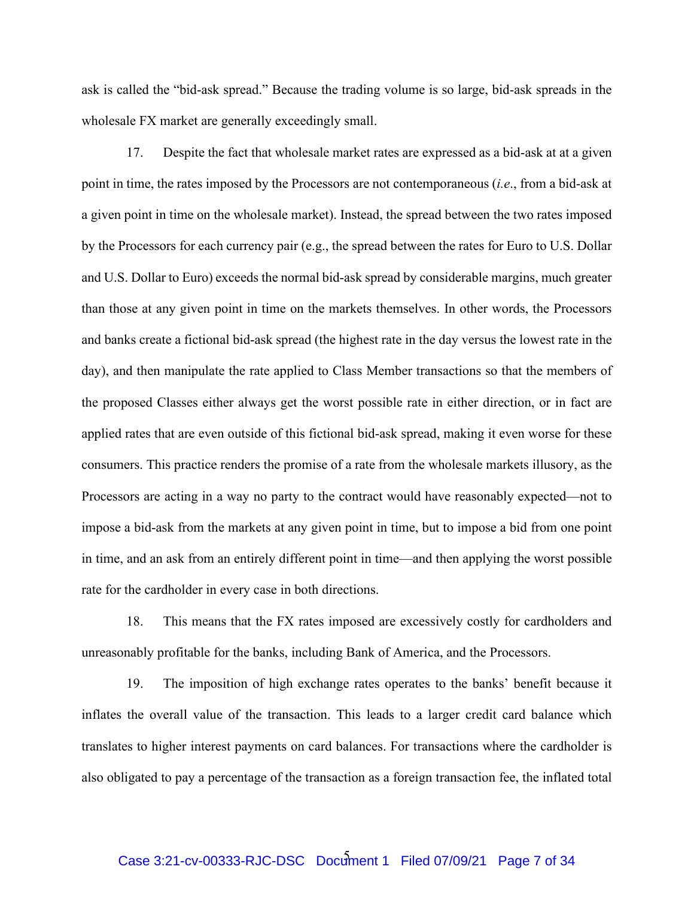ask is called the "bid-ask spread." Because the trading volume is so large, bid-ask spreads in the wholesale FX market are generally exceedingly small.

17. Despite the fact that wholesale market rates are expressed as a bid-ask at at a given point in time, the rates imposed by the Processors are not contemporaneous (*i.e*., from a bid-ask at a given point in time on the wholesale market). Instead, the spread between the two rates imposed by the Processors for each currency pair (e.g., the spread between the rates for Euro to U.S. Dollar and U.S. Dollar to Euro) exceeds the normal bid-ask spread by considerable margins, much greater than those at any given point in time on the markets themselves. In other words, the Processors and banks create a fictional bid-ask spread (the highest rate in the day versus the lowest rate in the day), and then manipulate the rate applied to Class Member transactions so that the members of the proposed Classes either always get the worst possible rate in either direction, or in fact are applied rates that are even outside of this fictional bid-ask spread, making it even worse for these consumers. This practice renders the promise of a rate from the wholesale markets illusory, as the Processors are acting in a way no party to the contract would have reasonably expected—not to impose a bid-ask from the markets at any given point in time, but to impose a bid from one point in time, and an ask from an entirely different point in time—and then applying the worst possible rate for the cardholder in every case in both directions.

18. This means that the FX rates imposed are excessively costly for cardholders and unreasonably profitable for the banks, including Bank of America, and the Processors.

19. The imposition of high exchange rates operates to the banks' benefit because it inflates the overall value of the transaction. This leads to a larger credit card balance which translates to higher interest payments on card balances. For transactions where the cardholder is also obligated to pay a percentage of the transaction as a foreign transaction fee, the inflated total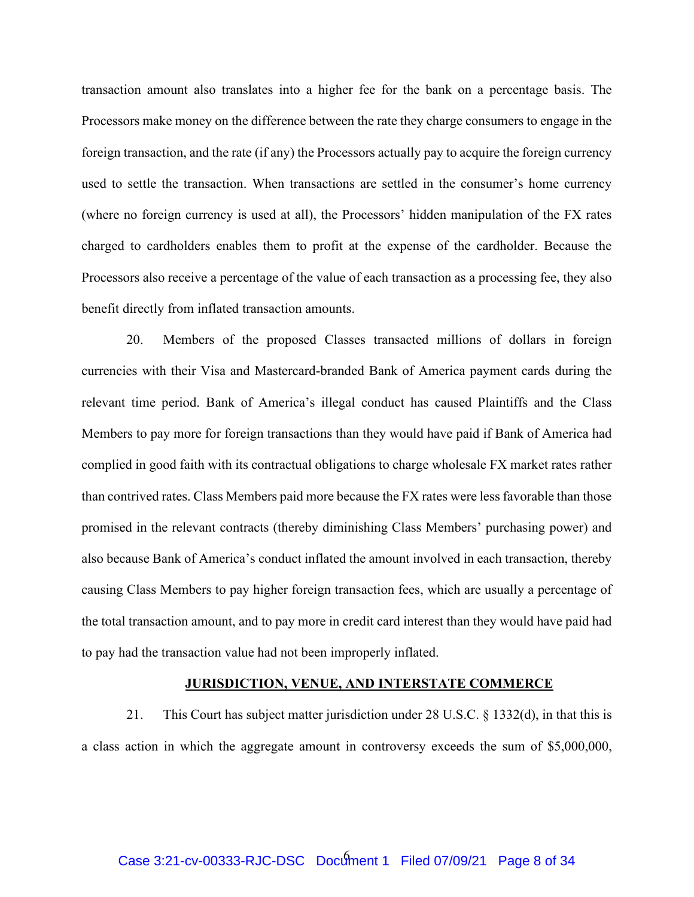transaction amount also translates into a higher fee for the bank on a percentage basis. The Processors make money on the difference between the rate they charge consumers to engage in the foreign transaction, and the rate (if any) the Processors actually pay to acquire the foreign currency used to settle the transaction. When transactions are settled in the consumer's home currency (where no foreign currency is used at all), the Processors' hidden manipulation of the FX rates charged to cardholders enables them to profit at the expense of the cardholder. Because the Processors also receive a percentage of the value of each transaction as a processing fee, they also benefit directly from inflated transaction amounts.

20. Members of the proposed Classes transacted millions of dollars in foreign currencies with their Visa and Mastercard-branded Bank of America payment cards during the relevant time period. Bank of America's illegal conduct has caused Plaintiffs and the Class Members to pay more for foreign transactions than they would have paid if Bank of America had complied in good faith with its contractual obligations to charge wholesale FX market rates rather than contrived rates. Class Members paid more because the FX rates were less favorable than those promised in the relevant contracts (thereby diminishing Class Members' purchasing power) and also because Bank of America's conduct inflated the amount involved in each transaction, thereby causing Class Members to pay higher foreign transaction fees, which are usually a percentage of the total transaction amount, and to pay more in credit card interest than they would have paid had to pay had the transaction value had not been improperly inflated.

#### **JURISDICTION, VENUE, AND INTERSTATE COMMERCE**

21. This Court has subject matter jurisdiction under 28 U.S.C. § 1332(d), in that this is a class action in which the aggregate amount in controversy exceeds the sum of \$5,000,000,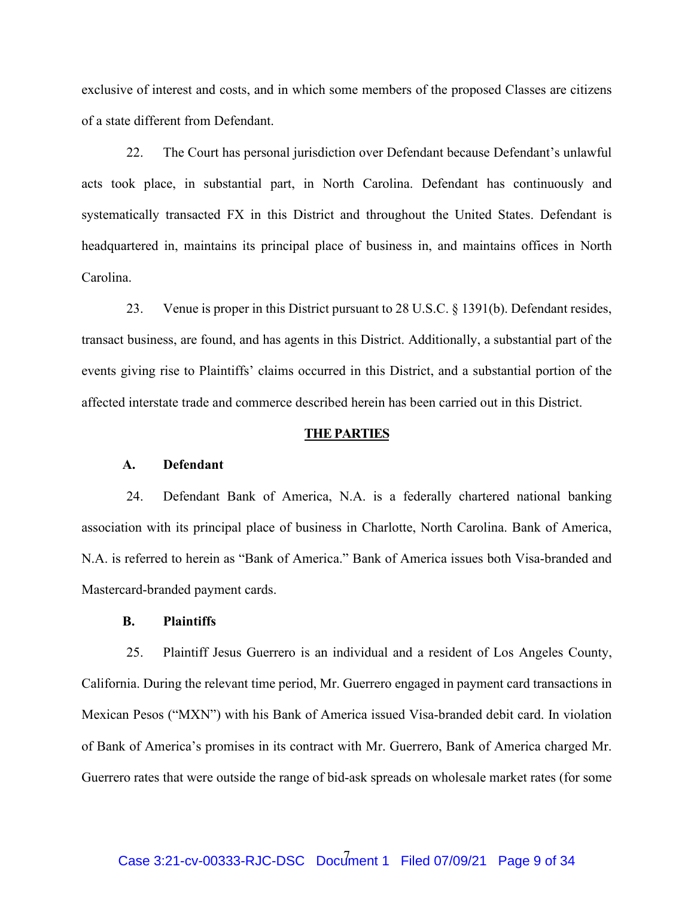exclusive of interest and costs, and in which some members of the proposed Classes are citizens of a state different from Defendant.

22. The Court has personal jurisdiction over Defendant because Defendant's unlawful acts took place, in substantial part, in North Carolina. Defendant has continuously and systematically transacted FX in this District and throughout the United States. Defendant is headquartered in, maintains its principal place of business in, and maintains offices in North Carolina.

23. Venue is proper in this District pursuant to 28 U.S.C. § 1391(b). Defendant resides, transact business, are found, and has agents in this District. Additionally, a substantial part of the events giving rise to Plaintiffs' claims occurred in this District, and a substantial portion of the affected interstate trade and commerce described herein has been carried out in this District.

#### **THE PARTIES**

### **A. Defendant**

24. Defendant Bank of America, N.A. is a federally chartered national banking association with its principal place of business in Charlotte, North Carolina. Bank of America, N.A. is referred to herein as "Bank of America." Bank of America issues both Visa-branded and Mastercard-branded payment cards.

### **B. Plaintiffs**

25. Plaintiff Jesus Guerrero is an individual and a resident of Los Angeles County, California. During the relevant time period, Mr. Guerrero engaged in payment card transactions in Mexican Pesos ("MXN") with his Bank of America issued Visa-branded debit card. In violation of Bank of America's promises in its contract with Mr. Guerrero, Bank of America charged Mr. Guerrero rates that were outside the range of bid-ask spreads on wholesale market rates (for some

# 7 Case 3:21-cv-00333-RJC-DSC Document 1 Filed 07/09/21 Page 9 of 34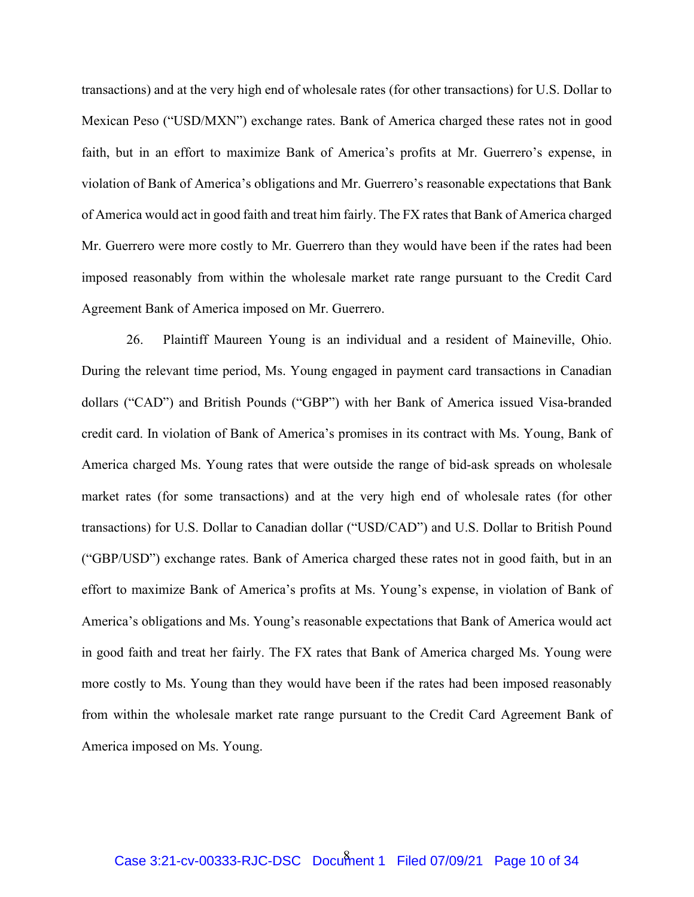transactions) and at the very high end of wholesale rates (for other transactions) for U.S. Dollar to Mexican Peso ("USD/MXN") exchange rates. Bank of America charged these rates not in good faith, but in an effort to maximize Bank of America's profits at Mr. Guerrero's expense, in violation of Bank of America's obligations and Mr. Guerrero's reasonable expectations that Bank of America would act in good faith and treat him fairly. The FX rates that Bank of America charged Mr. Guerrero were more costly to Mr. Guerrero than they would have been if the rates had been imposed reasonably from within the wholesale market rate range pursuant to the Credit Card Agreement Bank of America imposed on Mr. Guerrero.

26. Plaintiff Maureen Young is an individual and a resident of Maineville, Ohio. During the relevant time period, Ms. Young engaged in payment card transactions in Canadian dollars ("CAD") and British Pounds ("GBP") with her Bank of America issued Visa-branded credit card. In violation of Bank of America's promises in its contract with Ms. Young, Bank of America charged Ms. Young rates that were outside the range of bid-ask spreads on wholesale market rates (for some transactions) and at the very high end of wholesale rates (for other transactions) for U.S. Dollar to Canadian dollar ("USD/CAD") and U.S. Dollar to British Pound ("GBP/USD") exchange rates. Bank of America charged these rates not in good faith, but in an effort to maximize Bank of America's profits at Ms. Young's expense, in violation of Bank of America's obligations and Ms. Young's reasonable expectations that Bank of America would act in good faith and treat her fairly. The FX rates that Bank of America charged Ms. Young were more costly to Ms. Young than they would have been if the rates had been imposed reasonably from within the wholesale market rate range pursuant to the Credit Card Agreement Bank of America imposed on Ms. Young.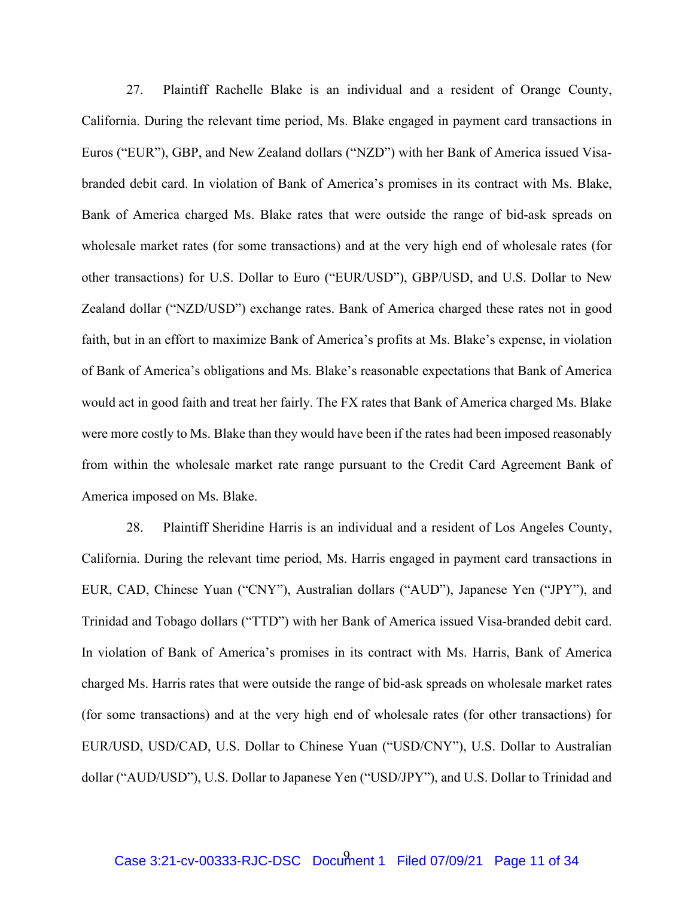27. Plaintiff Rachelle Blake is an individual and a resident of Orange County, California. During the relevant time period, Ms. Blake engaged in payment card transactions in Euros ("EUR"), GBP, and New Zealand dollars ("NZD") with her Bank of America issued Visabranded debit card. In violation of Bank of America's promises in its contract with Ms. Blake, Bank of America charged Ms. Blake rates that were outside the range of bid-ask spreads on wholesale market rates (for some transactions) and at the very high end of wholesale rates (for other transactions) for U.S. Dollar to Euro ("EUR/USD"), GBP/USD, and U.S. Dollar to New Zealand dollar ("NZD/USD") exchange rates. Bank of America charged these rates not in good faith, but in an effort to maximize Bank of America's profits at Ms. Blake's expense, in violation of Bank of America's obligations and Ms. Blake's reasonable expectations that Bank of America would act in good faith and treat her fairly. The FX rates that Bank of America charged Ms. Blake were more costly to Ms. Blake than they would have been if the rates had been imposed reasonably from within the wholesale market rate range pursuant to the Credit Card Agreement Bank of America imposed on Ms. Blake.

28. Plaintiff Sheridine Harris is an individual and a resident of Los Angeles County, California. During the relevant time period, Ms. Harris engaged in payment card transactions in EUR, CAD, Chinese Yuan ("CNY"), Australian dollars ("AUD"), Japanese Yen ("JPY"), and Trinidad and Tobago dollars ("TTD") with her Bank of America issued Visa-branded debit card. In violation of Bank of America's promises in its contract with Ms. Harris, Bank of America charged Ms. Harris rates that were outside the range of bid-ask spreads on wholesale market rates (for some transactions) and at the very high end of wholesale rates (for other transactions) for EUR/USD, USD/CAD, U.S. Dollar to Chinese Yuan ("USD/CNY"), U.S. Dollar to Australian dollar ("AUD/USD"), U.S. Dollar to Japanese Yen ("USD/JPY"), and U.S. Dollar to Trinidad and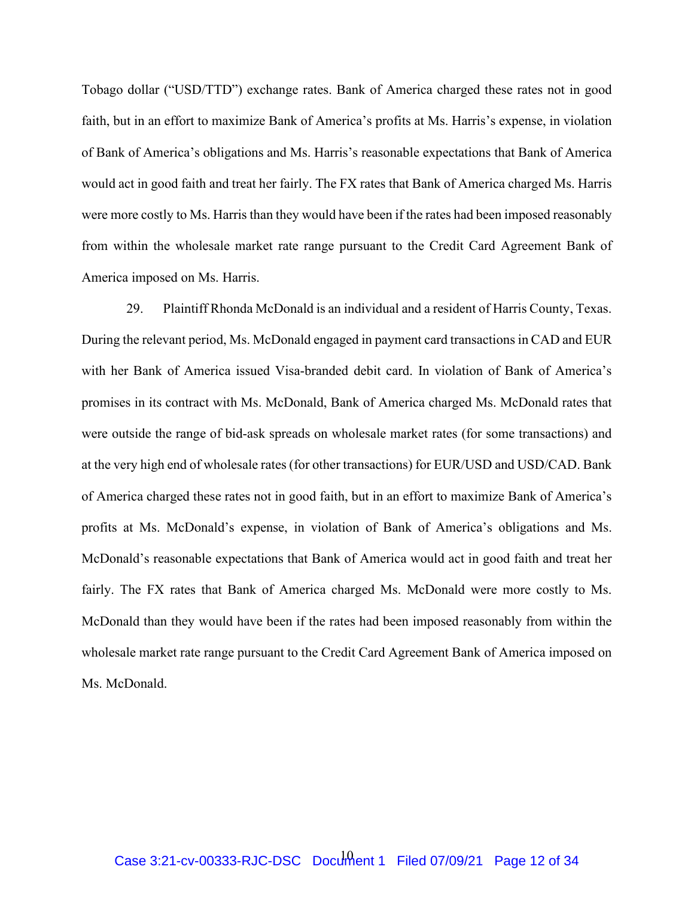Tobago dollar ("USD/TTD") exchange rates. Bank of America charged these rates not in good faith, but in an effort to maximize Bank of America's profits at Ms. Harris's expense, in violation of Bank of America's obligations and Ms. Harris's reasonable expectations that Bank of America would act in good faith and treat her fairly. The FX rates that Bank of America charged Ms. Harris were more costly to Ms. Harris than they would have been if the rates had been imposed reasonably from within the wholesale market rate range pursuant to the Credit Card Agreement Bank of America imposed on Ms. Harris.

29. Plaintiff Rhonda McDonald is an individual and a resident of Harris County, Texas. During the relevant period, Ms. McDonald engaged in payment card transactions in CAD and EUR with her Bank of America issued Visa-branded debit card. In violation of Bank of America's promises in its contract with Ms. McDonald, Bank of America charged Ms. McDonald rates that were outside the range of bid-ask spreads on wholesale market rates (for some transactions) and at the very high end of wholesale rates (for other transactions) for EUR/USD and USD/CAD. Bank of America charged these rates not in good faith, but in an effort to maximize Bank of America's profits at Ms. McDonald's expense, in violation of Bank of America's obligations and Ms. McDonald's reasonable expectations that Bank of America would act in good faith and treat her fairly. The FX rates that Bank of America charged Ms. McDonald were more costly to Ms. McDonald than they would have been if the rates had been imposed reasonably from within the wholesale market rate range pursuant to the Credit Card Agreement Bank of America imposed on Ms. McDonald.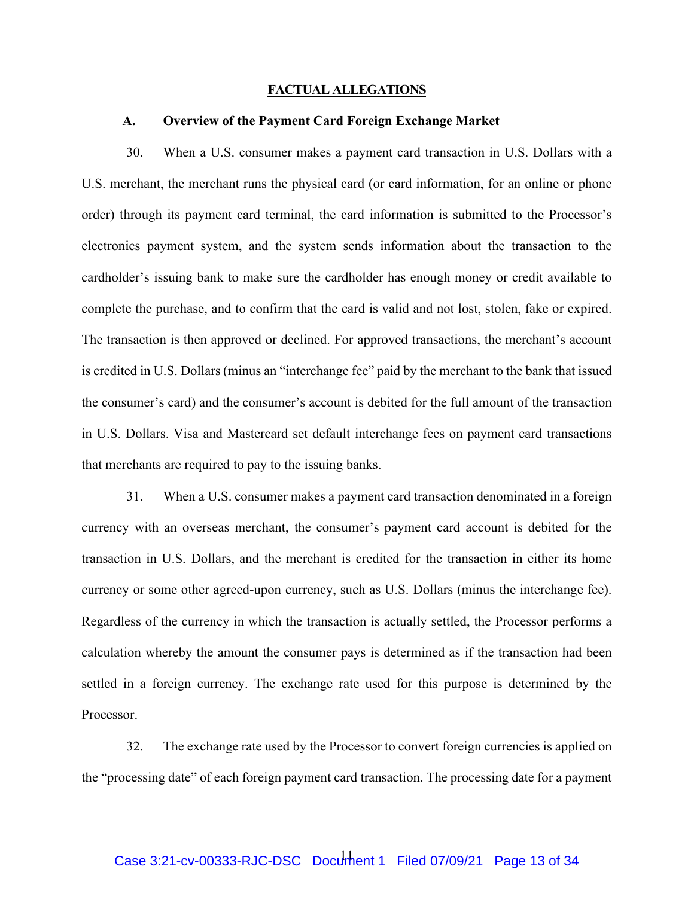#### **FACTUAL ALLEGATIONS**

### **A. Overview of the Payment Card Foreign Exchange Market**

30. When a U.S. consumer makes a payment card transaction in U.S. Dollars with a U.S. merchant, the merchant runs the physical card (or card information, for an online or phone order) through its payment card terminal, the card information is submitted to the Processor's electronics payment system, and the system sends information about the transaction to the cardholder's issuing bank to make sure the cardholder has enough money or credit available to complete the purchase, and to confirm that the card is valid and not lost, stolen, fake or expired. The transaction is then approved or declined. For approved transactions, the merchant's account is credited in U.S. Dollars (minus an "interchange fee" paid by the merchant to the bank that issued the consumer's card) and the consumer's account is debited for the full amount of the transaction in U.S. Dollars. Visa and Mastercard set default interchange fees on payment card transactions that merchants are required to pay to the issuing banks.

31. When a U.S. consumer makes a payment card transaction denominated in a foreign currency with an overseas merchant, the consumer's payment card account is debited for the transaction in U.S. Dollars, and the merchant is credited for the transaction in either its home currency or some other agreed-upon currency, such as U.S. Dollars (minus the interchange fee). Regardless of the currency in which the transaction is actually settled, the Processor performs a calculation whereby the amount the consumer pays is determined as if the transaction had been settled in a foreign currency. The exchange rate used for this purpose is determined by the Processor.

32. The exchange rate used by the Processor to convert foreign currencies is applied on the "processing date" of each foreign payment card transaction. The processing date for a payment

# Case 3:21-cv-00333-RJC-DSC Document 1 Filed 07/09/21 Page 13 of 34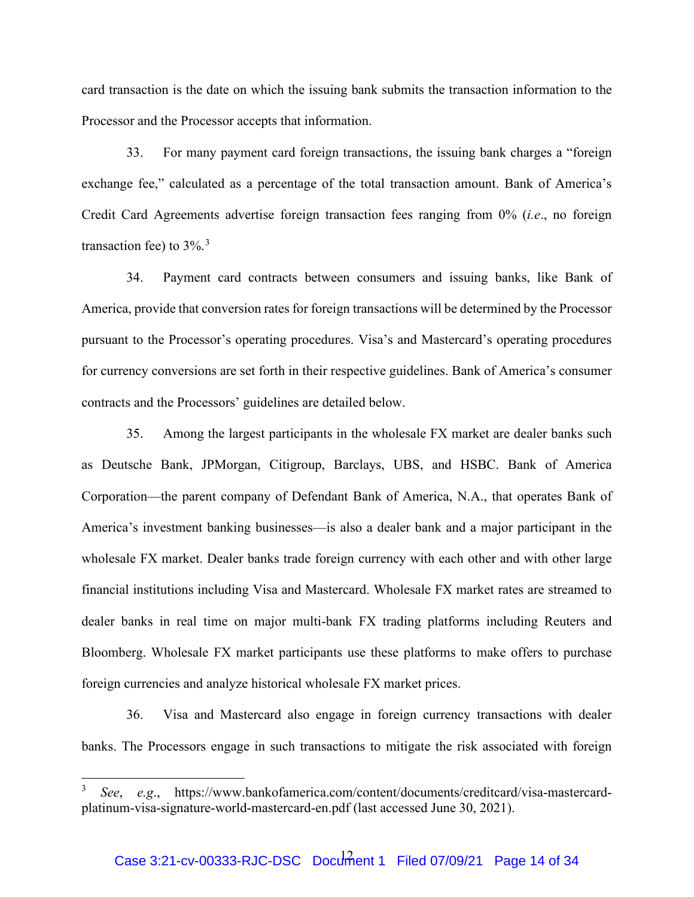card transaction is the date on which the issuing bank submits the transaction information to the Processor and the Processor accepts that information.

33. For many payment card foreign transactions, the issuing bank charges a "foreign exchange fee," calculated as a percentage of the total transaction amount. Bank of America's Credit Card Agreements advertise foreign transaction fees ranging from 0% (*i.e*., no foreign transaction fee) to  $3\%$  $3\%$ .<sup>3</sup>

34. Payment card contracts between consumers and issuing banks, like Bank of America, provide that conversion rates for foreign transactions will be determined by the Processor pursuant to the Processor's operating procedures. Visa's and Mastercard's operating procedures for currency conversions are set forth in their respective guidelines. Bank of America's consumer contracts and the Processors' guidelines are detailed below.

35. Among the largest participants in the wholesale FX market are dealer banks such as Deutsche Bank, JPMorgan, Citigroup, Barclays, UBS, and HSBC. Bank of America Corporation—the parent company of Defendant Bank of America, N.A., that operates Bank of America's investment banking businesses—is also a dealer bank and a major participant in the wholesale FX market. Dealer banks trade foreign currency with each other and with other large financial institutions including Visa and Mastercard. Wholesale FX market rates are streamed to dealer banks in real time on major multi-bank FX trading platforms including Reuters and Bloomberg. Wholesale FX market participants use these platforms to make offers to purchase foreign currencies and analyze historical wholesale FX market prices.

36. Visa and Mastercard also engage in foreign currency transactions with dealer banks. The Processors engage in such transactions to mitigate the risk associated with foreign

<span id="page-13-0"></span><sup>3</sup> *See*, *e.g*., https://www.bankofamerica.com/content/documents/creditcard/visa-mastercardplatinum-visa-signature-world-mastercard-en.pdf (last accessed June 30, 2021).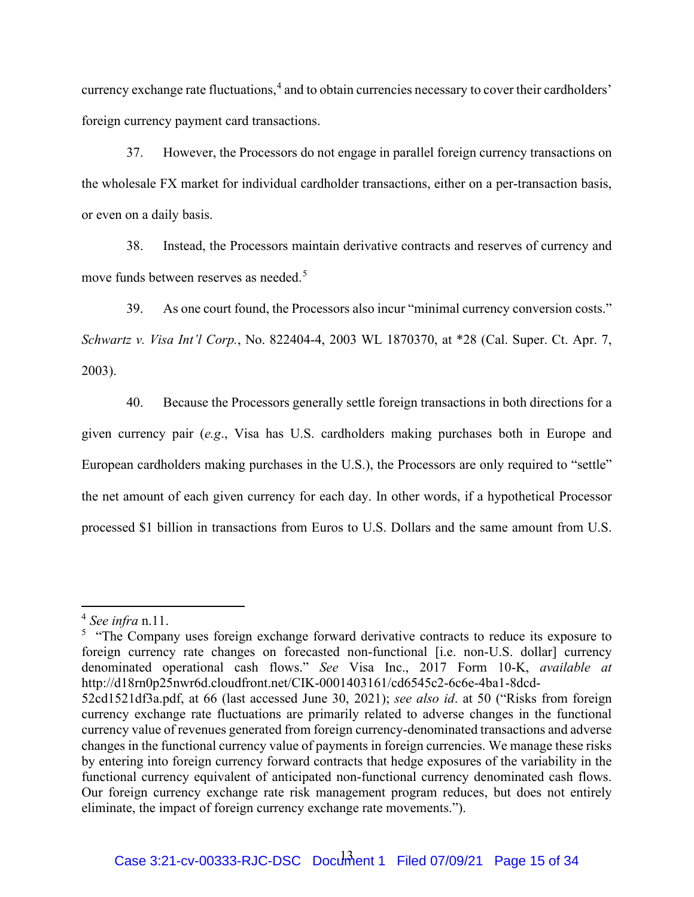currency exchange rate fluctuations, $4$  and to obtain currencies necessary to cover their cardholders' foreign currency payment card transactions.

37. However, the Processors do not engage in parallel foreign currency transactions on the wholesale FX market for individual cardholder transactions, either on a per-transaction basis, or even on a daily basis.

38. Instead, the Processors maintain derivative contracts and reserves of currency and move funds between reserves as needed.<sup>[5](#page-14-1)</sup>

39. As one court found, the Processors also incur "minimal currency conversion costs." *Schwartz v. Visa Int'l Corp.*, No. 822404-4, 2003 WL 1870370, at \*28 (Cal. Super. Ct. Apr. 7, 2003).

40. Because the Processors generally settle foreign transactions in both directions for a given currency pair (*e.g*., Visa has U.S. cardholders making purchases both in Europe and European cardholders making purchases in the U.S.), the Processors are only required to "settle" the net amount of each given currency for each day. In other words, if a hypothetical Processor processed \$1 billion in transactions from Euros to U.S. Dollars and the same amount from U.S.

<span id="page-14-0"></span><sup>4</sup> *See infra* n.11.

<span id="page-14-1"></span><sup>&</sup>lt;sup>5</sup> "The Company uses foreign exchange forward derivative contracts to reduce its exposure to foreign currency rate changes on forecasted non-functional [i.e. non-U.S. dollar] currency denominated operational cash flows." *See* Visa Inc., 2017 Form 10-K, *available at*  http://d18rn0p25nwr6d.cloudfront.net/CIK-0001403161/cd6545c2-6c6e-4ba1-8dcd-

<sup>52</sup>cd1521df3a.pdf, at 66 (last accessed June 30, 2021); *see also id*. at 50 ("Risks from foreign currency exchange rate fluctuations are primarily related to adverse changes in the functional currency value of revenues generated from foreign currency-denominated transactions and adverse changes in the functional currency value of payments in foreign currencies. We manage these risks by entering into foreign currency forward contracts that hedge exposures of the variability in the functional currency equivalent of anticipated non-functional currency denominated cash flows. Our foreign currency exchange rate risk management program reduces, but does not entirely eliminate, the impact of foreign currency exchange rate movements.").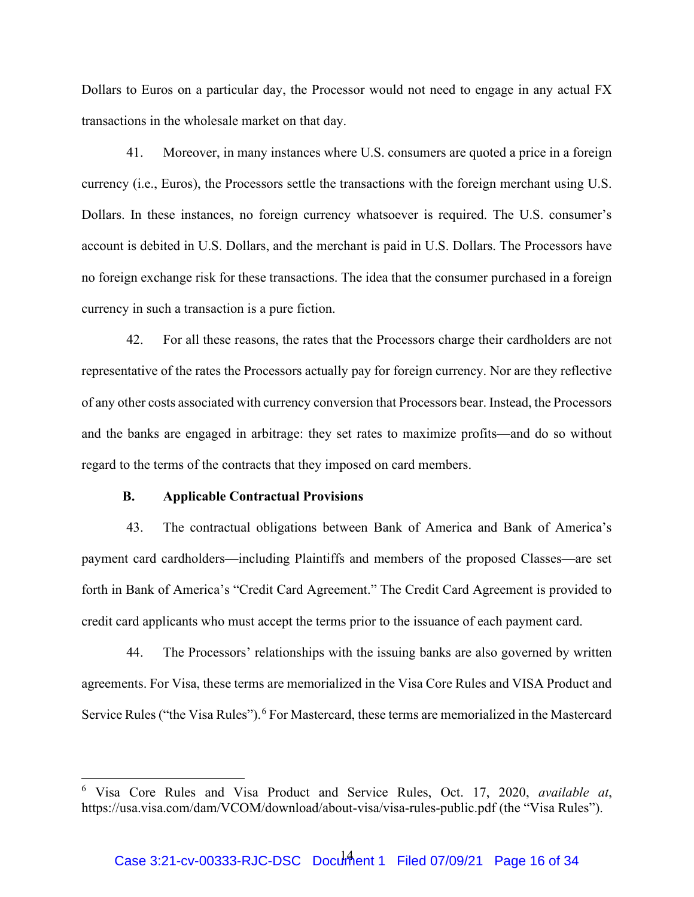Dollars to Euros on a particular day, the Processor would not need to engage in any actual FX transactions in the wholesale market on that day.

41. Moreover, in many instances where U.S. consumers are quoted a price in a foreign currency (i.e., Euros), the Processors settle the transactions with the foreign merchant using U.S. Dollars. In these instances, no foreign currency whatsoever is required. The U.S. consumer's account is debited in U.S. Dollars, and the merchant is paid in U.S. Dollars. The Processors have no foreign exchange risk for these transactions. The idea that the consumer purchased in a foreign currency in such a transaction is a pure fiction.

42. For all these reasons, the rates that the Processors charge their cardholders are not representative of the rates the Processors actually pay for foreign currency. Nor are they reflective of any other costs associated with currency conversion that Processors bear. Instead, the Processors and the banks are engaged in arbitrage: they set rates to maximize profits—and do so without regard to the terms of the contracts that they imposed on card members.

## **B. Applicable Contractual Provisions**

43. The contractual obligations between Bank of America and Bank of America's payment card cardholders—including Plaintiffs and members of the proposed Classes—are set forth in Bank of America's "Credit Card Agreement." The Credit Card Agreement is provided to credit card applicants who must accept the terms prior to the issuance of each payment card.

44. The Processors' relationships with the issuing banks are also governed by written agreements. For Visa, these terms are memorialized in the Visa Core Rules and VISA Product and Service Rules ("the Visa Rules").<sup>[6](#page-15-0)</sup> For Mastercard, these terms are memorialized in the Mastercard

<span id="page-15-0"></span><sup>6</sup> Visa Core Rules and Visa Product and Service Rules, Oct. 17, 2020, *available at*, https://usa.visa.com/dam/VCOM/download/about-visa/visa-rules-public.pdf (the "Visa Rules").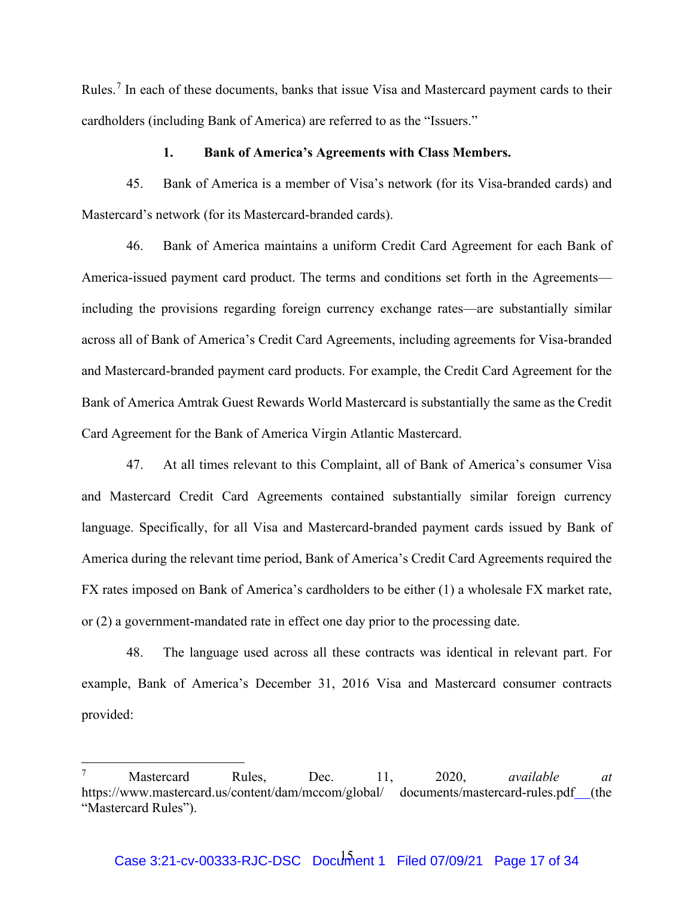Rules.<sup>[7](#page-16-0)</sup> In each of these documents, banks that issue Visa and Mastercard payment cards to their cardholders (including Bank of America) are referred to as the "Issuers."

### **1. Bank of America's Agreements with Class Members.**

45. Bank of America is a member of Visa's network (for its Visa-branded cards) and Mastercard's network (for its Mastercard-branded cards).

46. Bank of America maintains a uniform Credit Card Agreement for each Bank of America-issued payment card product. The terms and conditions set forth in the Agreements including the provisions regarding foreign currency exchange rates—are substantially similar across all of Bank of America's Credit Card Agreements, including agreements for Visa-branded and Mastercard-branded payment card products. For example, the Credit Card Agreement for the Bank of America Amtrak Guest Rewards World Mastercard is substantially the same as the Credit Card Agreement for the Bank of America Virgin Atlantic Mastercard.

47. At all times relevant to this Complaint, all of Bank of America's consumer Visa and Mastercard Credit Card Agreements contained substantially similar foreign currency language. Specifically, for all Visa and Mastercard-branded payment cards issued by Bank of America during the relevant time period, Bank of America's Credit Card Agreements required the FX rates imposed on Bank of America's cardholders to be either (1) a wholesale FX market rate, or (2) a government-mandated rate in effect one day prior to the processing date.

48. The language used across all these contracts was identical in relevant part. For example, Bank of America's December 31, 2016 Visa and Mastercard consumer contracts provided:

<span id="page-16-0"></span><sup>7</sup> Mastercard Rules, Dec. 11, 2020, *available at*  https://www.mastercard.us/content/dam/mccom/global/ documents/mastercard-rules.pdf (the "Mastercard Rules").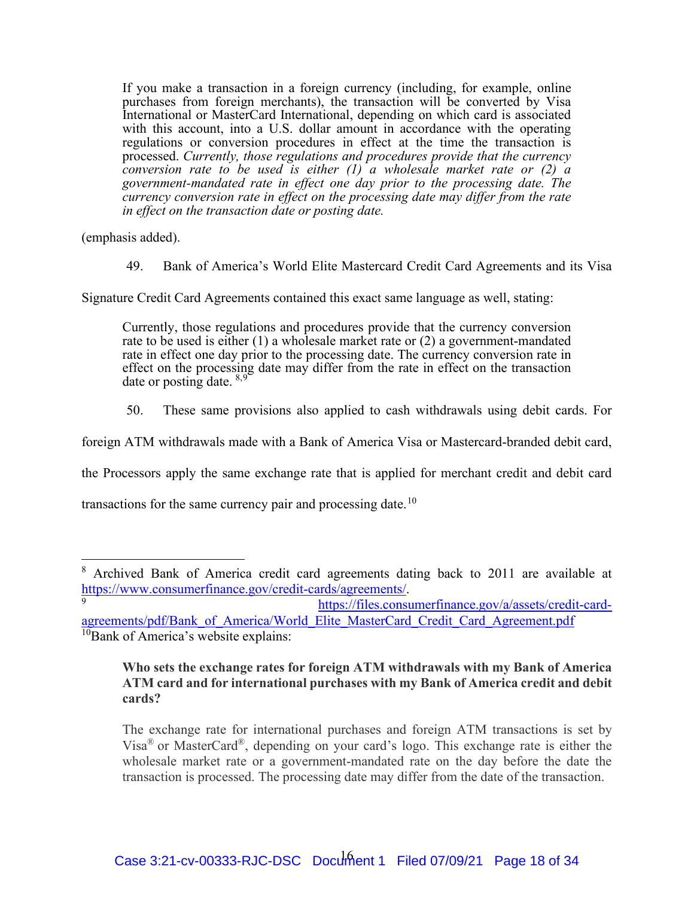If you make a transaction in a foreign currency (including, for example, online purchases from foreign merchants), the transaction will be converted by Visa International or MasterCard International, depending on which card is associated with this account, into a U.S. dollar amount in accordance with the operating regulations or conversion procedures in effect at the time the transaction is processed. *Currently, those regulations and procedures provide that the currency conversion rate to be used is either (1) a wholesale market rate or (2) a government-mandated rate in effect one day prior to the processing date. The currency conversion rate in effect on the processing date may differ from the rate in effect on the transaction date or posting date.* 

(emphasis added).

49. Bank of America's World Elite Mastercard Credit Card Agreements and its Visa

Signature Credit Card Agreements contained this exact same language as well, stating:

Currently, those regulations and procedures provide that the currency conversion rate to be used is either (1) a wholesale market rate or (2) a government-mandated rate in effect one day prior to the processing date. The currency conversion rate in effect on the processing date may differ from the rate in effect on the transaction date or posting date.  $8.9$  $8.9$ 

50. These same provisions also applied to cash withdrawals using debit cards. For

foreign ATM withdrawals made with a Bank of America Visa or Mastercard-branded debit card,

the Processors apply the same exchange rate that is applied for merchant credit and debit card

transactions for the same currency pair and processing date.<sup>[10](#page-17-2)</sup>

## **Who sets the exchange rates for foreign ATM withdrawals with my Bank of America ATM card and for international purchases with my Bank of America credit and debit cards?**

The exchange rate for international purchases and foreign ATM transactions is set by Visa® or MasterCard®, depending on your card's logo. This exchange rate is either the wholesale market rate or a government-mandated rate on the day before the date the transaction is processed. The processing date may differ from the date of the transaction.

<span id="page-17-0"></span><sup>&</sup>lt;sup>8</sup> Archived Bank of America credit card agreements dating back to 2011 are available at [https://www.consumerfinance.gov/credit-cards/agreements/.](https://www.consumerfinance.gov/credit-cards/agreements/) 9

[https://files.consumerfinance.gov/a/assets/credit-card-](https://files.consumerfinance.gov/a/assets/credit-card-agreements/pdf/Bank_of_America/World_Elite_MasterCard_Credit_Card_Agreement.pdf)

<span id="page-17-2"></span><span id="page-17-1"></span>[agreements/pdf/Bank\\_of\\_America/World\\_Elite\\_MasterCard\\_Credit\\_Card\\_Agreement.pdf](https://files.consumerfinance.gov/a/assets/credit-card-agreements/pdf/Bank_of_America/World_Elite_MasterCard_Credit_Card_Agreement.pdf) <sup>10</sup>Bank of America's website explains: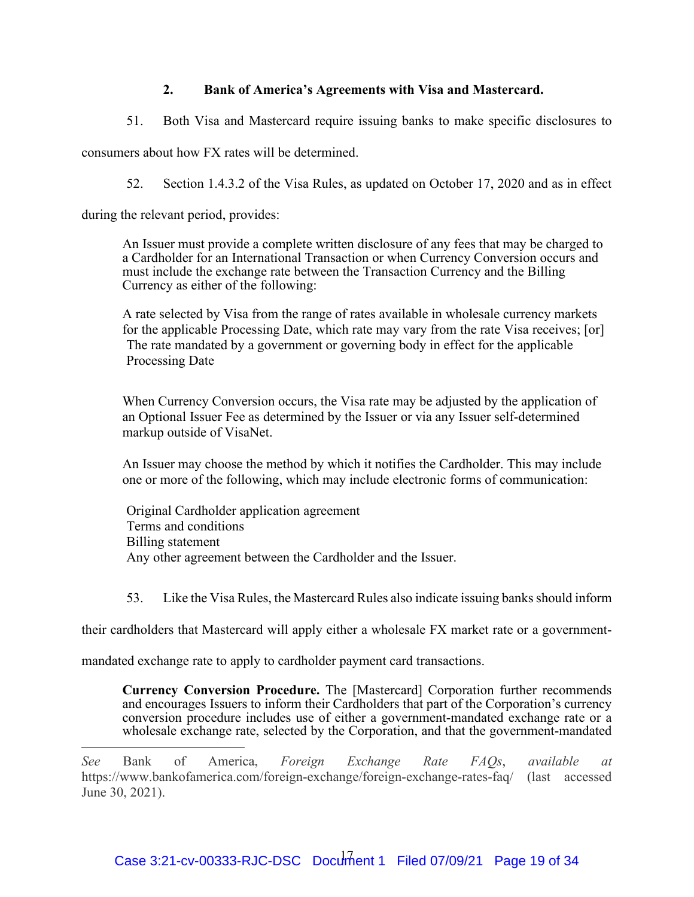# **2. Bank of America's Agreements with Visa and Mastercard.**

51. Both Visa and Mastercard require issuing banks to make specific disclosures to

consumers about how FX rates will be determined.

52. Section 1.4.3.2 of the Visa Rules, as updated on October 17, 2020 and as in effect

during the relevant period, provides:

An Issuer must provide a complete written disclosure of any fees that may be charged to a Cardholder for an International Transaction or when Currency Conversion occurs and must include the exchange rate between the Transaction Currency and the Billing Currency as either of the following:

A rate selected by Visa from the range of rates available in wholesale currency markets for the applicable Processing Date, which rate may vary from the rate Visa receives; [or] The rate mandated by a government or governing body in effect for the applicable Processing Date

When Currency Conversion occurs, the Visa rate may be adjusted by the application of an Optional Issuer Fee as determined by the Issuer or via any Issuer self-determined markup outside of VisaNet.

An Issuer may choose the method by which it notifies the Cardholder. This may include one or more of the following, which may include electronic forms of communication:

Original Cardholder application agreement Terms and conditions Billing statement Any other agreement between the Cardholder and the Issuer.

53. Like the Visa Rules, the Mastercard Rules also indicate issuing banks should inform

their cardholders that Mastercard will apply either a wholesale FX market rate or a government-

mandated exchange rate to apply to cardholder payment card transactions.

**Currency Conversion Procedure.** The [Mastercard] Corporation further recommends and encourages Issuers to inform their Cardholders that part of the Corporation's currency conversion procedure includes use of either a government-mandated exchange rate or a wholesale exchange rate, selected by the Corporation, and that the government-mandated

*See* Bank of America, *Foreign Exchange Rate FAQs*, *available at*  https://www.bankofamerica.com/foreign-exchange/foreign-exchange-rates-faq/ (last accessed June 30, 2021).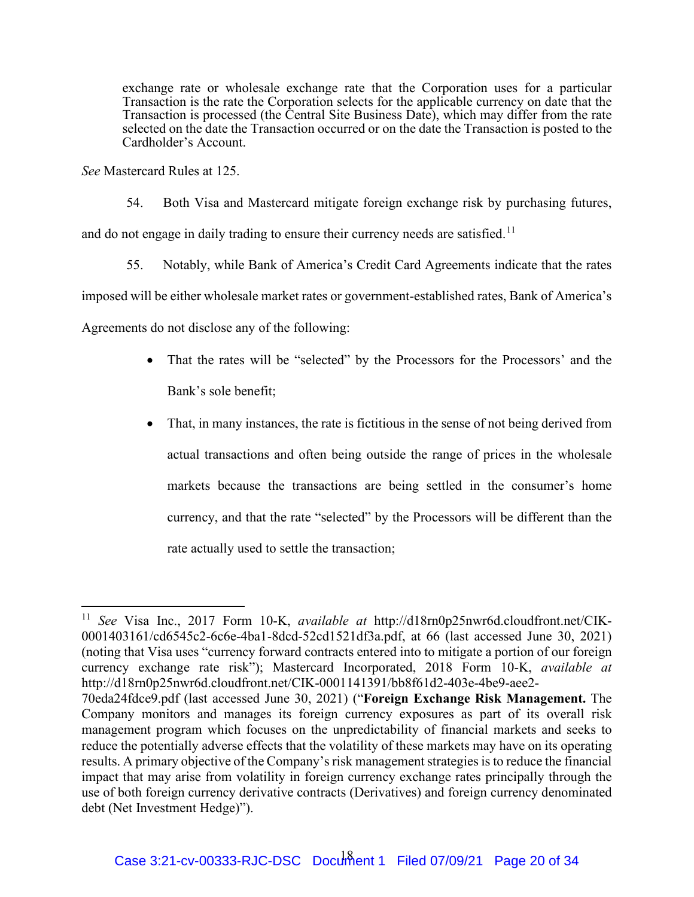exchange rate or wholesale exchange rate that the Corporation uses for a particular Transaction is the rate the Corporation selects for the applicable currency on date that the Transaction is processed (the Central Site Business Date), which may differ from the rate selected on the date the Transaction occurred or on the date the Transaction is posted to the Cardholder's Account.

*See* Mastercard Rules at 125.

54. Both Visa and Mastercard mitigate foreign exchange risk by purchasing futures, and do not engage in daily trading to ensure their currency needs are satisfied.<sup>[11](#page-19-0)</sup>

55. Notably, while Bank of America's Credit Card Agreements indicate that the rates

imposed will be either wholesale market rates or government-established rates, Bank of America's

Agreements do not disclose any of the following:

- That the rates will be "selected" by the Processors for the Processors' and the Bank's sole benefit;
- That, in many instances, the rate is fictitious in the sense of not being derived from actual transactions and often being outside the range of prices in the wholesale markets because the transactions are being settled in the consumer's home currency, and that the rate "selected" by the Processors will be different than the rate actually used to settle the transaction;

<span id="page-19-0"></span><sup>11</sup> *See* Visa Inc., 2017 Form 10-K, *available at* http://d18rn0p25nwr6d.cloudfront.net/CIK-0001403161/cd6545c2-6c6e-4ba1-8dcd-52cd1521df3a.pdf, at 66 (last accessed June 30, 2021) (noting that Visa uses "currency forward contracts entered into to mitigate a portion of our foreign currency exchange rate risk"); Mastercard Incorporated, 2018 Form 10-K, *available at* http://d18rn0p25nwr6d.cloudfront.net/CIK-0001141391/bb8f61d2-403e-4be9-aee2-

<sup>70</sup>eda24fdce9.pdf (last accessed June 30, 2021) ("**Foreign Exchange Risk Management.** The Company monitors and manages its foreign currency exposures as part of its overall risk management program which focuses on the unpredictability of financial markets and seeks to reduce the potentially adverse effects that the volatility of these markets may have on its operating results. A primary objective of the Company's risk management strategies is to reduce the financial impact that may arise from volatility in foreign currency exchange rates principally through the use of both foreign currency derivative contracts (Derivatives) and foreign currency denominated debt (Net Investment Hedge)").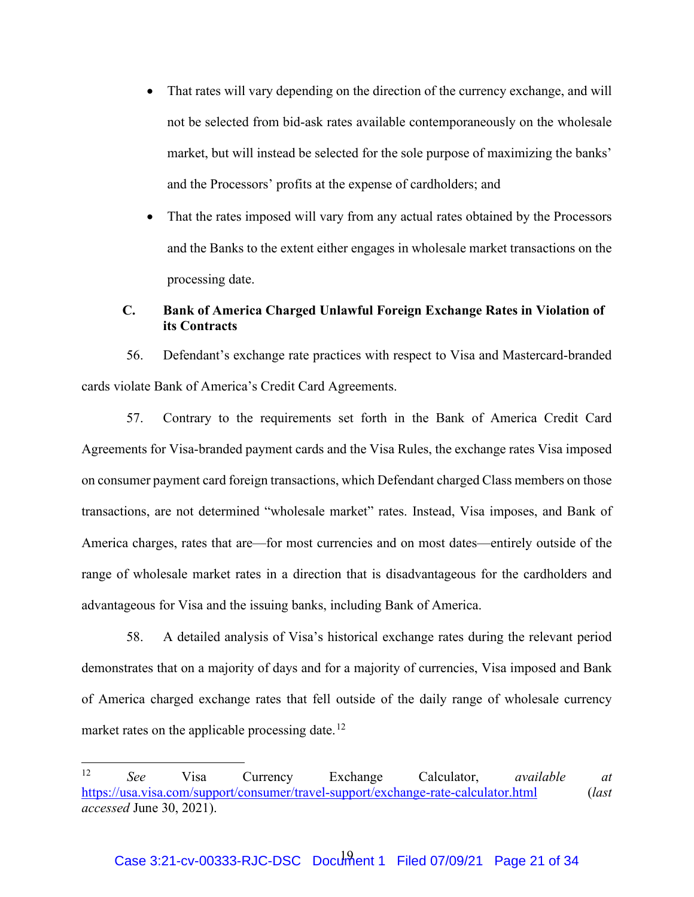- That rates will vary depending on the direction of the currency exchange, and will not be selected from bid-ask rates available contemporaneously on the wholesale market, but will instead be selected for the sole purpose of maximizing the banks' and the Processors' profits at the expense of cardholders; and
- That the rates imposed will vary from any actual rates obtained by the Processors and the Banks to the extent either engages in wholesale market transactions on the processing date.

## **C. Bank of America Charged Unlawful Foreign Exchange Rates in Violation of its Contracts**

56. Defendant's exchange rate practices with respect to Visa and Mastercard-branded cards violate Bank of America's Credit Card Agreements.

57. Contrary to the requirements set forth in the Bank of America Credit Card Agreements for Visa-branded payment cards and the Visa Rules, the exchange rates Visa imposed on consumer payment card foreign transactions, which Defendant charged Class members on those transactions, are not determined "wholesale market" rates. Instead, Visa imposes, and Bank of America charges, rates that are—for most currencies and on most dates—entirely outside of the range of wholesale market rates in a direction that is disadvantageous for the cardholders and advantageous for Visa and the issuing banks, including Bank of America.

58. A detailed analysis of Visa's historical exchange rates during the relevant period demonstrates that on a majority of days and for a majority of currencies, Visa imposed and Bank of America charged exchange rates that fell outside of the daily range of wholesale currency market rates on the applicable processing date.<sup>[12](#page-20-0)</sup>

<span id="page-20-0"></span><sup>12</sup> *See* Visa Currency Exchange Calculator, *available at* <https://usa.visa.com/support/consumer/travel-support/exchange-rate-calculator.html>(*last accessed* June 30, 2021).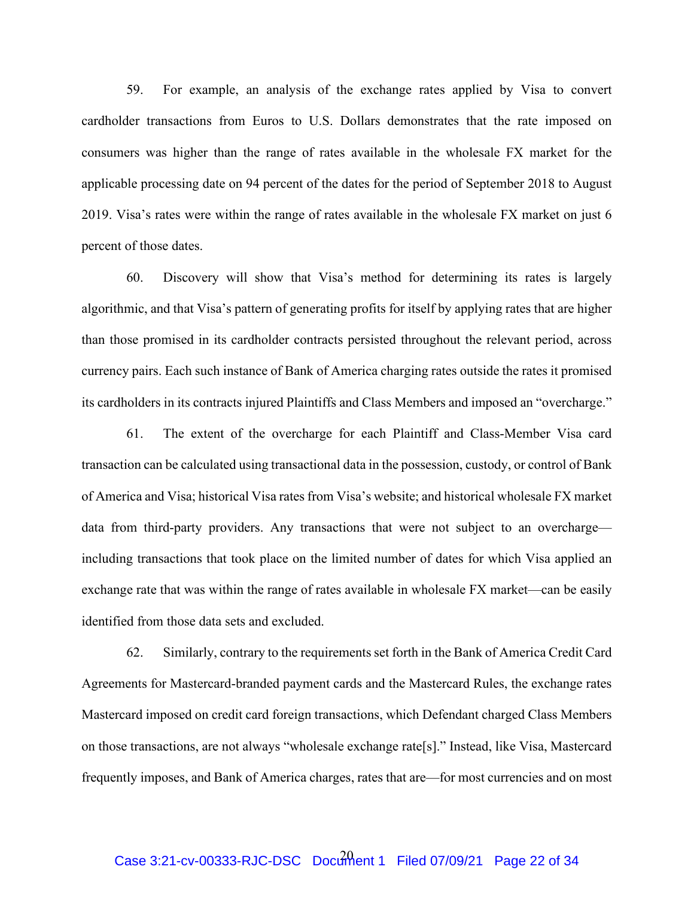59. For example, an analysis of the exchange rates applied by Visa to convert cardholder transactions from Euros to U.S. Dollars demonstrates that the rate imposed on consumers was higher than the range of rates available in the wholesale FX market for the applicable processing date on 94 percent of the dates for the period of September 2018 to August 2019. Visa's rates were within the range of rates available in the wholesale FX market on just 6 percent of those dates.

60. Discovery will show that Visa's method for determining its rates is largely algorithmic, and that Visa's pattern of generating profits for itself by applying rates that are higher than those promised in its cardholder contracts persisted throughout the relevant period, across currency pairs. Each such instance of Bank of America charging rates outside the rates it promised its cardholders in its contracts injured Plaintiffs and Class Members and imposed an "overcharge."

61. The extent of the overcharge for each Plaintiff and Class-Member Visa card transaction can be calculated using transactional data in the possession, custody, or control of Bank of America and Visa; historical Visa rates from Visa's website; and historical wholesale FX market data from third-party providers. Any transactions that were not subject to an overcharge including transactions that took place on the limited number of dates for which Visa applied an exchange rate that was within the range of rates available in wholesale FX market—can be easily identified from those data sets and excluded.

62. Similarly, contrary to the requirements set forth in the Bank of America Credit Card Agreements for Mastercard-branded payment cards and the Mastercard Rules, the exchange rates Mastercard imposed on credit card foreign transactions, which Defendant charged Class Members on those transactions, are not always "wholesale exchange rate[s]." Instead, like Visa, Mastercard frequently imposes, and Bank of America charges, rates that are—for most currencies and on most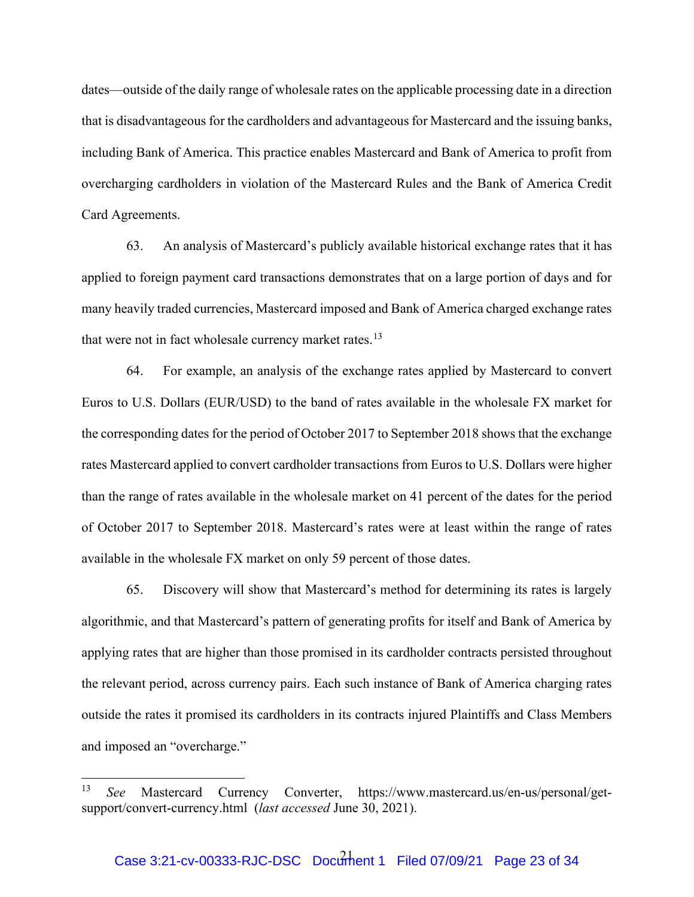dates—outside of the daily range of wholesale rates on the applicable processing date in a direction that is disadvantageous for the cardholders and advantageous for Mastercard and the issuing banks, including Bank of America. This practice enables Mastercard and Bank of America to profit from overcharging cardholders in violation of the Mastercard Rules and the Bank of America Credit Card Agreements.

63. An analysis of Mastercard's publicly available historical exchange rates that it has applied to foreign payment card transactions demonstrates that on a large portion of days and for many heavily traded currencies, Mastercard imposed and Bank of America charged exchange rates that were not in fact wholesale currency market rates.<sup>[13](#page-22-0)</sup>

64. For example, an analysis of the exchange rates applied by Mastercard to convert Euros to U.S. Dollars (EUR/USD) to the band of rates available in the wholesale FX market for the corresponding dates for the period of October 2017 to September 2018 shows that the exchange rates Mastercard applied to convert cardholder transactions from Euros to U.S. Dollars were higher than the range of rates available in the wholesale market on 41 percent of the dates for the period of October 2017 to September 2018. Mastercard's rates were at least within the range of rates available in the wholesale FX market on only 59 percent of those dates.

65. Discovery will show that Mastercard's method for determining its rates is largely algorithmic, and that Mastercard's pattern of generating profits for itself and Bank of America by applying rates that are higher than those promised in its cardholder contracts persisted throughout the relevant period, across currency pairs. Each such instance of Bank of America charging rates outside the rates it promised its cardholders in its contracts injured Plaintiffs and Class Members and imposed an "overcharge."

<span id="page-22-0"></span><sup>13</sup> *See* Mastercard Currency Converter, https://www.mastercard.us/en-us/personal/getsupport/convert-currency.html (*last accessed* June 30, 2021).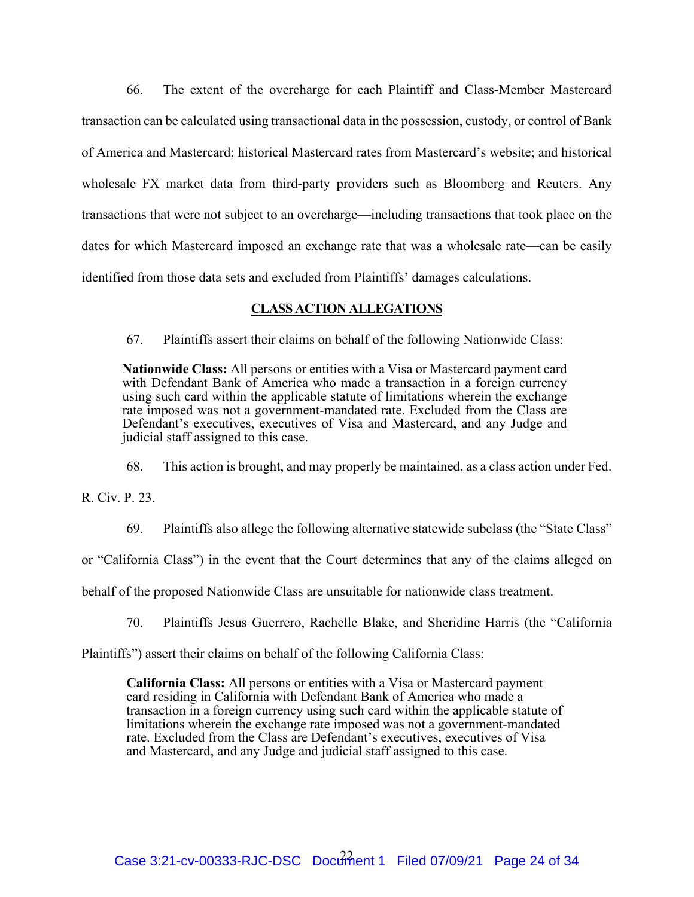66. The extent of the overcharge for each Plaintiff and Class-Member Mastercard transaction can be calculated using transactional data in the possession, custody, or control of Bank of America and Mastercard; historical Mastercard rates from Mastercard's website; and historical wholesale FX market data from third-party providers such as Bloomberg and Reuters. Any transactions that were not subject to an overcharge—including transactions that took place on the dates for which Mastercard imposed an exchange rate that was a wholesale rate—can be easily identified from those data sets and excluded from Plaintiffs' damages calculations.

# **CLASS ACTION ALLEGATIONS**

67. Plaintiffs assert their claims on behalf of the following Nationwide Class:

**Nationwide Class:** All persons or entities with a Visa or Mastercard payment card with Defendant Bank of America who made a transaction in a foreign currency using such card within the applicable statute of limitations wherein the exchange rate imposed was not a government-mandated rate. Excluded from the Class are Defendant's executives, executives of Visa and Mastercard, and any Judge and judicial staff assigned to this case.

68. This action is brought, and may properly be maintained, as a class action under Fed.

R. Civ. P. 23.

69. Plaintiffs also allege the following alternative statewide subclass (the "State Class"

or "California Class") in the event that the Court determines that any of the claims alleged on

behalf of the proposed Nationwide Class are unsuitable for nationwide class treatment.

70. Plaintiffs Jesus Guerrero, Rachelle Blake, and Sheridine Harris (the "California

Plaintiffs") assert their claims on behalf of the following California Class:

**California Class:** All persons or entities with a Visa or Mastercard payment card residing in California with Defendant Bank of America who made a transaction in a foreign currency using such card within the applicable statute of limitations wherein the exchange rate imposed was not a government-mandated rate. Excluded from the Class are Defendant's executives, executives of Visa and Mastercard, and any Judge and judicial staff assigned to this case.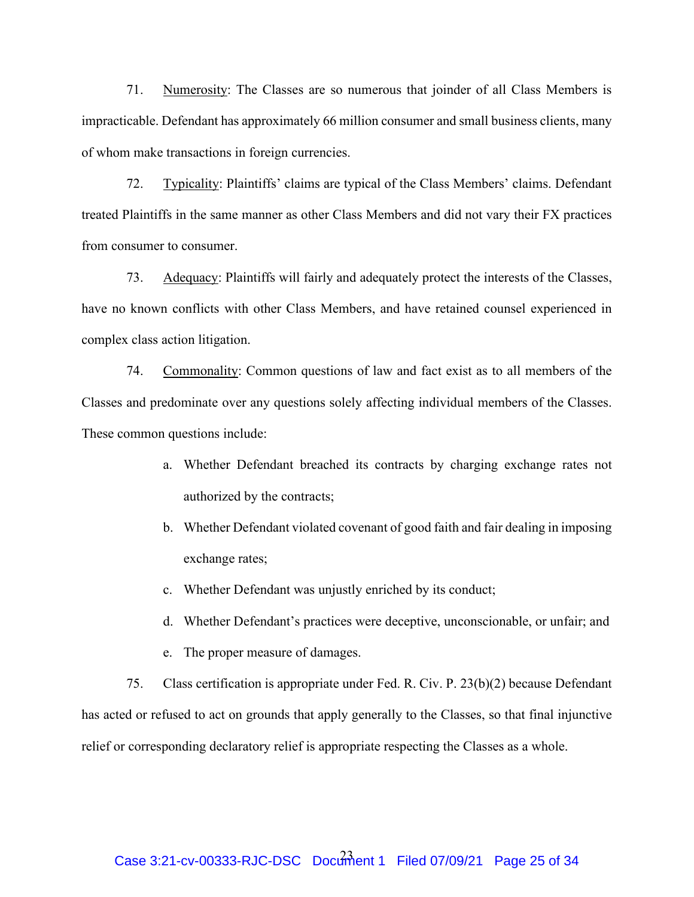71. Numerosity: The Classes are so numerous that joinder of all Class Members is impracticable. Defendant has approximately 66 million consumer and small business clients, many of whom make transactions in foreign currencies.

72. Typicality: Plaintiffs' claims are typical of the Class Members' claims. Defendant treated Plaintiffs in the same manner as other Class Members and did not vary their FX practices from consumer to consumer.

73. Adequacy: Plaintiffs will fairly and adequately protect the interests of the Classes, have no known conflicts with other Class Members, and have retained counsel experienced in complex class action litigation.

74. Commonality: Common questions of law and fact exist as to all members of the Classes and predominate over any questions solely affecting individual members of the Classes. These common questions include:

- a. Whether Defendant breached its contracts by charging exchange rates not authorized by the contracts;
- b. Whether Defendant violated covenant of good faith and fair dealing in imposing exchange rates;
- c. Whether Defendant was unjustly enriched by its conduct;
- d. Whether Defendant's practices were deceptive, unconscionable, or unfair; and
- e. The proper measure of damages.

75. Class certification is appropriate under Fed. R. Civ. P. 23(b)(2) because Defendant has acted or refused to act on grounds that apply generally to the Classes, so that final injunctive relief or corresponding declaratory relief is appropriate respecting the Classes as a whole.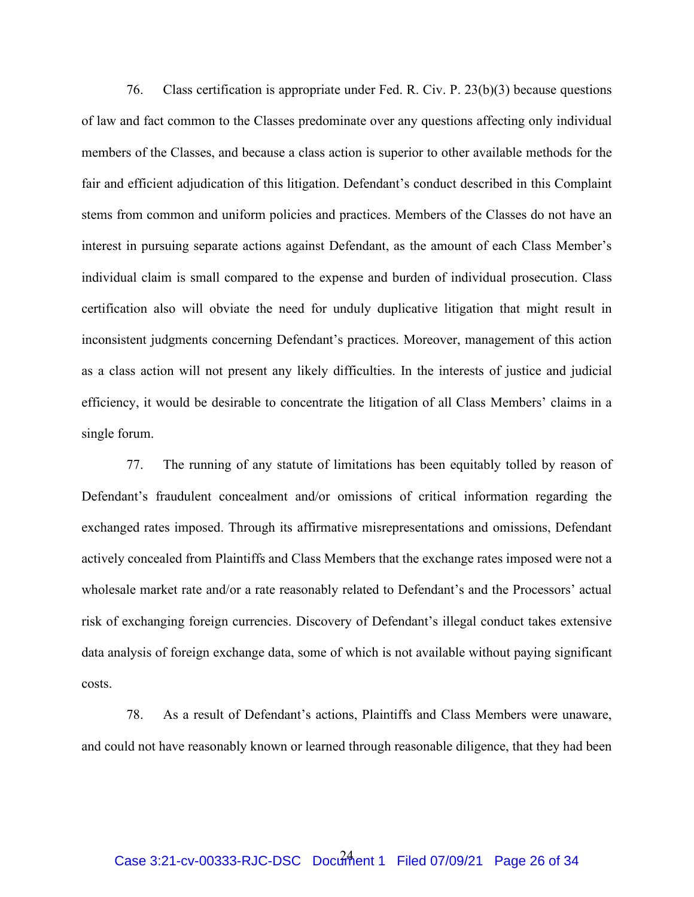76. Class certification is appropriate under Fed. R. Civ. P. 23(b)(3) because questions of law and fact common to the Classes predominate over any questions affecting only individual members of the Classes, and because a class action is superior to other available methods for the fair and efficient adjudication of this litigation. Defendant's conduct described in this Complaint stems from common and uniform policies and practices. Members of the Classes do not have an interest in pursuing separate actions against Defendant, as the amount of each Class Member's individual claim is small compared to the expense and burden of individual prosecution. Class certification also will obviate the need for unduly duplicative litigation that might result in inconsistent judgments concerning Defendant's practices. Moreover, management of this action as a class action will not present any likely difficulties. In the interests of justice and judicial efficiency, it would be desirable to concentrate the litigation of all Class Members' claims in a single forum.

77. The running of any statute of limitations has been equitably tolled by reason of Defendant's fraudulent concealment and/or omissions of critical information regarding the exchanged rates imposed. Through its affirmative misrepresentations and omissions, Defendant actively concealed from Plaintiffs and Class Members that the exchange rates imposed were not a wholesale market rate and/or a rate reasonably related to Defendant's and the Processors' actual risk of exchanging foreign currencies. Discovery of Defendant's illegal conduct takes extensive data analysis of foreign exchange data, some of which is not available without paying significant costs.

78. As a result of Defendant's actions, Plaintiffs and Class Members were unaware, and could not have reasonably known or learned through reasonable diligence, that they had been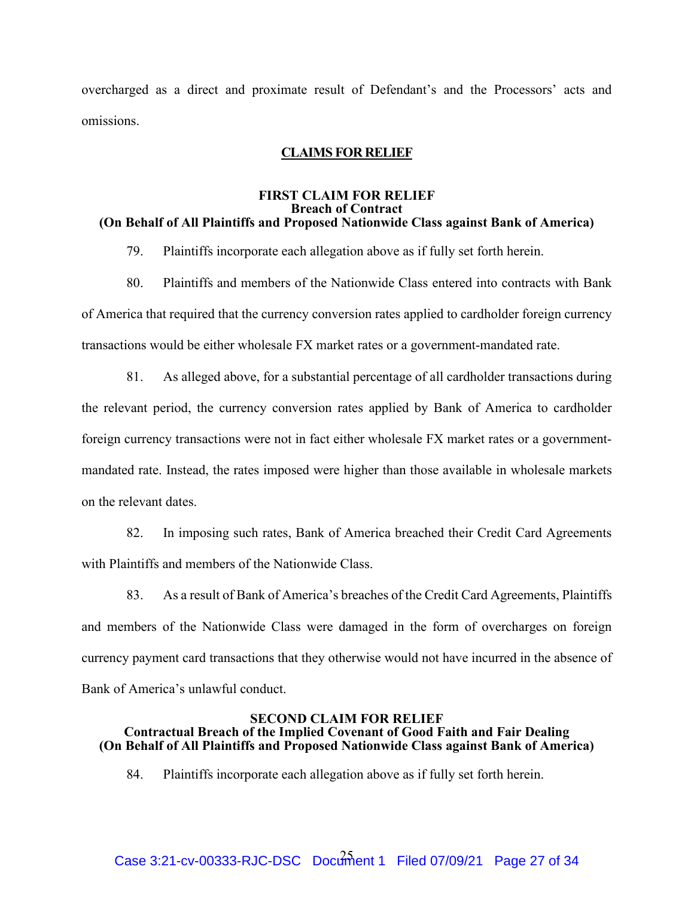overcharged as a direct and proximate result of Defendant's and the Processors' acts and omissions.

## **CLAIMS FOR RELIEF**

### **FIRST CLAIM FOR RELIEF Breach of Contract (On Behalf of All Plaintiffs and Proposed Nationwide Class against Bank of America)**

79. Plaintiffs incorporate each allegation above as if fully set forth herein.

- 80. Plaintiffs and members of the Nationwide Class entered into contracts with Bank of America that required that the currency conversion rates applied to cardholder foreign currency transactions would be either wholesale FX market rates or a government-mandated rate.
- 81. As alleged above, for a substantial percentage of all cardholder transactions during the relevant period, the currency conversion rates applied by Bank of America to cardholder foreign currency transactions were not in fact either wholesale FX market rates or a governmentmandated rate. Instead, the rates imposed were higher than those available in wholesale markets on the relevant dates.

82. In imposing such rates, Bank of America breached their Credit Card Agreements with Plaintiffs and members of the Nationwide Class.

83. As a result of Bank of America's breaches of the Credit Card Agreements, Plaintiffs and members of the Nationwide Class were damaged in the form of overcharges on foreign currency payment card transactions that they otherwise would not have incurred in the absence of Bank of America's unlawful conduct.

## **SECOND CLAIM FOR RELIEF Contractual Breach of the Implied Covenant of Good Faith and Fair Dealing (On Behalf of All Plaintiffs and Proposed Nationwide Class against Bank of America)**

84. Plaintiffs incorporate each allegation above as if fully set forth herein.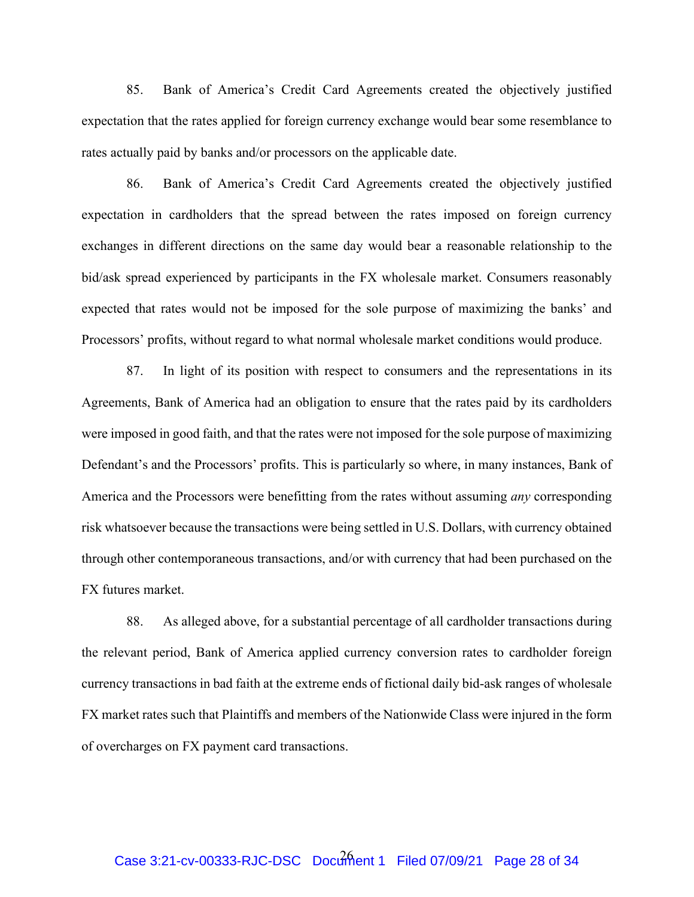85. Bank of America's Credit Card Agreements created the objectively justified expectation that the rates applied for foreign currency exchange would bear some resemblance to rates actually paid by banks and/or processors on the applicable date.

86. Bank of America's Credit Card Agreements created the objectively justified expectation in cardholders that the spread between the rates imposed on foreign currency exchanges in different directions on the same day would bear a reasonable relationship to the bid/ask spread experienced by participants in the FX wholesale market. Consumers reasonably expected that rates would not be imposed for the sole purpose of maximizing the banks' and Processors' profits, without regard to what normal wholesale market conditions would produce.

87. In light of its position with respect to consumers and the representations in its Agreements, Bank of America had an obligation to ensure that the rates paid by its cardholders were imposed in good faith, and that the rates were not imposed for the sole purpose of maximizing Defendant's and the Processors' profits. This is particularly so where, in many instances, Bank of America and the Processors were benefitting from the rates without assuming *any* corresponding risk whatsoever because the transactions were being settled in U.S. Dollars, with currency obtained through other contemporaneous transactions, and/or with currency that had been purchased on the FX futures market.

88. As alleged above, for a substantial percentage of all cardholder transactions during the relevant period, Bank of America applied currency conversion rates to cardholder foreign currency transactions in bad faith at the extreme ends of fictional daily bid-ask ranges of wholesale FX market rates such that Plaintiffs and members of the Nationwide Class were injured in the form of overcharges on FX payment card transactions.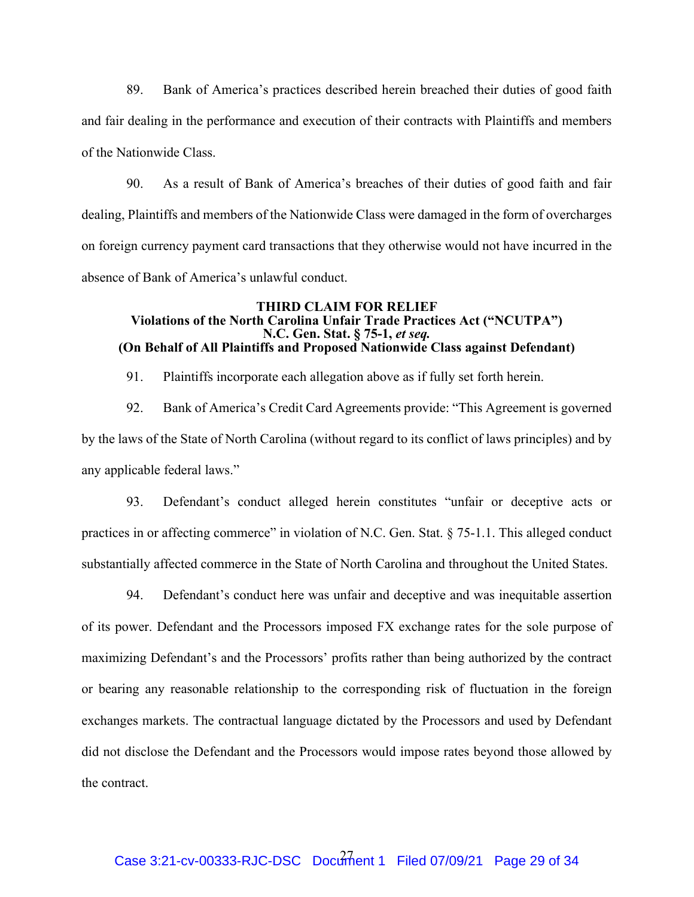89. Bank of America's practices described herein breached their duties of good faith and fair dealing in the performance and execution of their contracts with Plaintiffs and members of the Nationwide Class.

90. As a result of Bank of America's breaches of their duties of good faith and fair dealing, Plaintiffs and members of the Nationwide Class were damaged in the form of overcharges on foreign currency payment card transactions that they otherwise would not have incurred in the absence of Bank of America's unlawful conduct.

### **THIRD CLAIM FOR RELIEF Violations of the North Carolina Unfair Trade Practices Act ("NCUTPA") N.C. Gen. Stat. § 75-1,** *et seq.* **(On Behalf of All Plaintiffs and Proposed Nationwide Class against Defendant)**

91. Plaintiffs incorporate each allegation above as if fully set forth herein.

92. Bank of America's Credit Card Agreements provide: "This Agreement is governed by the laws of the State of North Carolina (without regard to its conflict of laws principles) and by any applicable federal laws."

93. Defendant's conduct alleged herein constitutes "unfair or deceptive acts or practices in or affecting commerce" in violation of N.C. Gen. Stat. § 75-1.1. This alleged conduct substantially affected commerce in the State of North Carolina and throughout the United States.

94. Defendant's conduct here was unfair and deceptive and was inequitable assertion of its power. Defendant and the Processors imposed FX exchange rates for the sole purpose of maximizing Defendant's and the Processors' profits rather than being authorized by the contract or bearing any reasonable relationship to the corresponding risk of fluctuation in the foreign exchanges markets. The contractual language dictated by the Processors and used by Defendant did not disclose the Defendant and the Processors would impose rates beyond those allowed by the contract.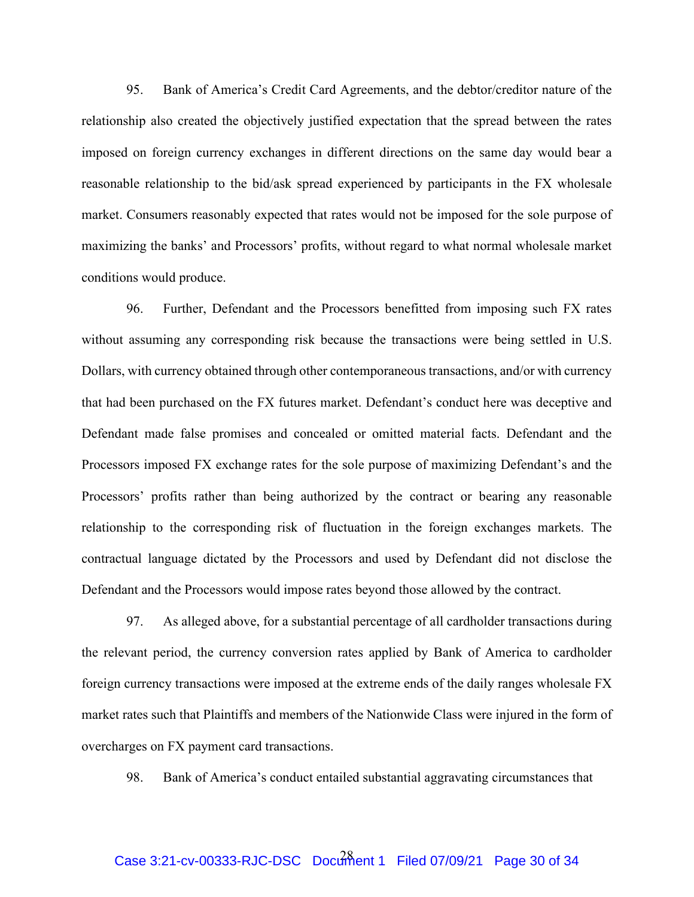95. Bank of America's Credit Card Agreements, and the debtor/creditor nature of the relationship also created the objectively justified expectation that the spread between the rates imposed on foreign currency exchanges in different directions on the same day would bear a reasonable relationship to the bid/ask spread experienced by participants in the FX wholesale market. Consumers reasonably expected that rates would not be imposed for the sole purpose of maximizing the banks' and Processors' profits, without regard to what normal wholesale market conditions would produce.

96. Further, Defendant and the Processors benefitted from imposing such FX rates without assuming any corresponding risk because the transactions were being settled in U.S. Dollars, with currency obtained through other contemporaneous transactions, and/or with currency that had been purchased on the FX futures market. Defendant's conduct here was deceptive and Defendant made false promises and concealed or omitted material facts. Defendant and the Processors imposed FX exchange rates for the sole purpose of maximizing Defendant's and the Processors' profits rather than being authorized by the contract or bearing any reasonable relationship to the corresponding risk of fluctuation in the foreign exchanges markets. The contractual language dictated by the Processors and used by Defendant did not disclose the Defendant and the Processors would impose rates beyond those allowed by the contract.

97. As alleged above, for a substantial percentage of all cardholder transactions during the relevant period, the currency conversion rates applied by Bank of America to cardholder foreign currency transactions were imposed at the extreme ends of the daily ranges wholesale FX market rates such that Plaintiffs and members of the Nationwide Class were injured in the form of overcharges on FX payment card transactions.

98. Bank of America's conduct entailed substantial aggravating circumstances that

# Case 3:21-cv-00333-RJC-DSC Document 1 Filed 07/09/21 Page 30 of 34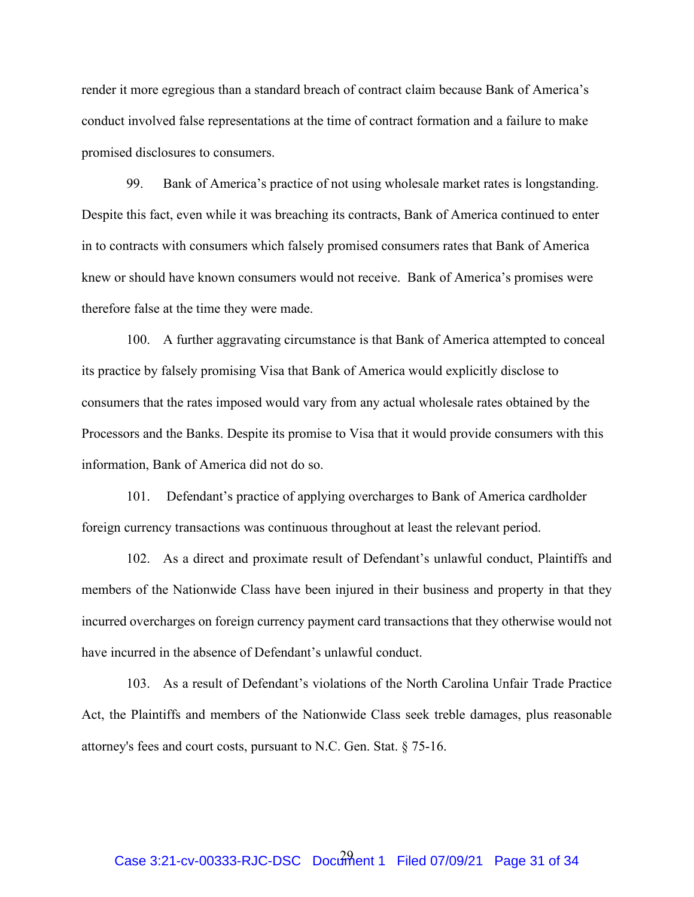render it more egregious than a standard breach of contract claim because Bank of America's conduct involved false representations at the time of contract formation and a failure to make promised disclosures to consumers.

99. Bank of America's practice of not using wholesale market rates is longstanding. Despite this fact, even while it was breaching its contracts, Bank of America continued to enter in to contracts with consumers which falsely promised consumers rates that Bank of America knew or should have known consumers would not receive. Bank of America's promises were therefore false at the time they were made.

100. A further aggravating circumstance is that Bank of America attempted to conceal its practice by falsely promising Visa that Bank of America would explicitly disclose to consumers that the rates imposed would vary from any actual wholesale rates obtained by the Processors and the Banks. Despite its promise to Visa that it would provide consumers with this information, Bank of America did not do so.

101. Defendant's practice of applying overcharges to Bank of America cardholder foreign currency transactions was continuous throughout at least the relevant period.

102. As a direct and proximate result of Defendant's unlawful conduct, Plaintiffs and members of the Nationwide Class have been injured in their business and property in that they incurred overcharges on foreign currency payment card transactions that they otherwise would not have incurred in the absence of Defendant's unlawful conduct.

103. As a result of Defendant's violations of the North Carolina Unfair Trade Practice Act, the Plaintiffs and members of the Nationwide Class seek treble damages, plus reasonable attorney's fees and court costs, pursuant to N.C. Gen. Stat. § 75-16.

# Case 3:21-cv-00333-RJC-DSC Document 1 Filed 07/09/21 Page 31 of 34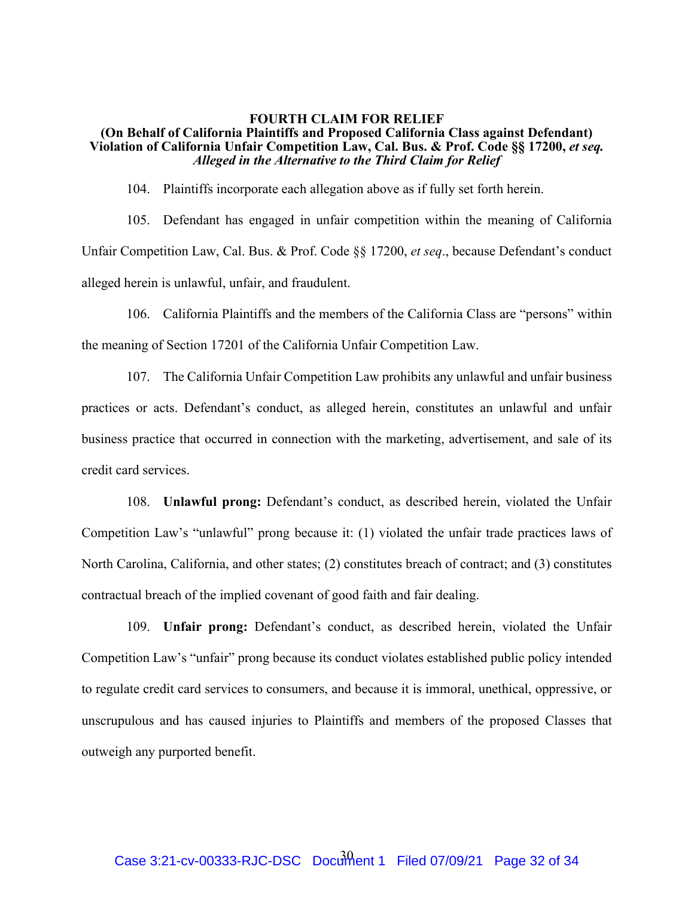### **FOURTH CLAIM FOR RELIEF (On Behalf of California Plaintiffs and Proposed California Class against Defendant)**  Violation of California Unfair Competition Law, Cal. Bus. & Prof. Code §§ 17200, *et seq. Alleged in the Alternative to the Third Claim for Relief*

104. Plaintiffs incorporate each allegation above as if fully set forth herein.

105. Defendant has engaged in unfair competition within the meaning of California Unfair Competition Law, Cal. Bus. & Prof. Code §§ 17200, *et seq*., because Defendant's conduct alleged herein is unlawful, unfair, and fraudulent.

106. California Plaintiffs and the members of the California Class are "persons" within the meaning of Section 17201 of the California Unfair Competition Law.

107. The California Unfair Competition Law prohibits any unlawful and unfair business practices or acts. Defendant's conduct, as alleged herein, constitutes an unlawful and unfair business practice that occurred in connection with the marketing, advertisement, and sale of its credit card services.

108. **Unlawful prong:** Defendant's conduct, as described herein, violated the Unfair Competition Law's "unlawful" prong because it: (1) violated the unfair trade practices laws of North Carolina, California, and other states; (2) constitutes breach of contract; and (3) constitutes contractual breach of the implied covenant of good faith and fair dealing.

109. **Unfair prong:** Defendant's conduct, as described herein, violated the Unfair Competition Law's "unfair" prong because its conduct violates established public policy intended to regulate credit card services to consumers, and because it is immoral, unethical, oppressive, or unscrupulous and has caused injuries to Plaintiffs and members of the proposed Classes that outweigh any purported benefit.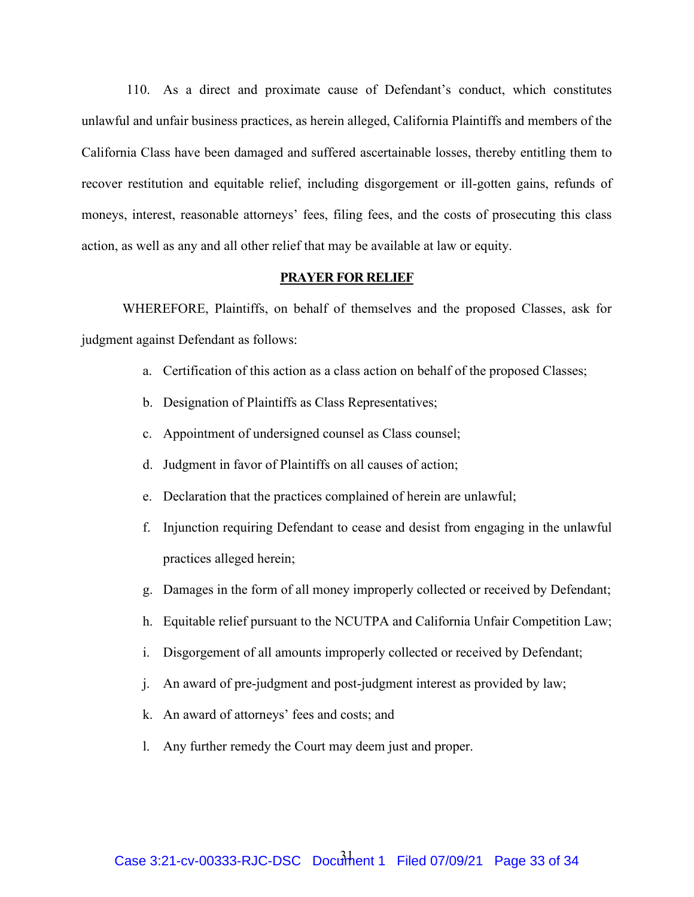110. As a direct and proximate cause of Defendant's conduct, which constitutes unlawful and unfair business practices, as herein alleged, California Plaintiffs and members of the California Class have been damaged and suffered ascertainable losses, thereby entitling them to recover restitution and equitable relief, including disgorgement or ill-gotten gains, refunds of moneys, interest, reasonable attorneys' fees, filing fees, and the costs of prosecuting this class action, as well as any and all other relief that may be available at law or equity.

## **PRAYER FOR RELIEF**

WHEREFORE, Plaintiffs, on behalf of themselves and the proposed Classes, ask for judgment against Defendant as follows:

- a. Certification of this action as a class action on behalf of the proposed Classes;
- b. Designation of Plaintiffs as Class Representatives;
- c. Appointment of undersigned counsel as Class counsel;
- d. Judgment in favor of Plaintiffs on all causes of action;
- e. Declaration that the practices complained of herein are unlawful;
- f. Injunction requiring Defendant to cease and desist from engaging in the unlawful practices alleged herein;
- g. Damages in the form of all money improperly collected or received by Defendant;
- h. Equitable relief pursuant to the NCUTPA and California Unfair Competition Law;
- i. Disgorgement of all amounts improperly collected or received by Defendant;
- j. An award of pre-judgment and post-judgment interest as provided by law;
- k. An award of attorneys' fees and costs; and
- l. Any further remedy the Court may deem just and proper.